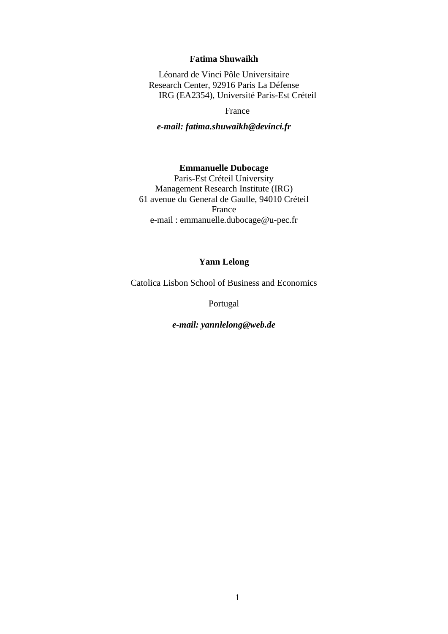### **Fatima Shuwaikh**

Léonard de Vinci Pôle Universitaire Research Center, 92916 Paris La Défense IRG (EA2354), Université Paris-Est Créteil

France

*e-mail: fatima.shuwaikh@devinci.fr*

### **Emmanuelle Dubocage**

Paris-Est Créteil University Management Research Institute (IRG) 61 avenue du General de Gaulle, 94010 Créteil France e-mail : emmanuelle.dubocage@u-pec.fr

### **Yann Lelong**

Catolica Lisbon School of Business and Economics

Portugal

*e-mail: yannlelong@web.de*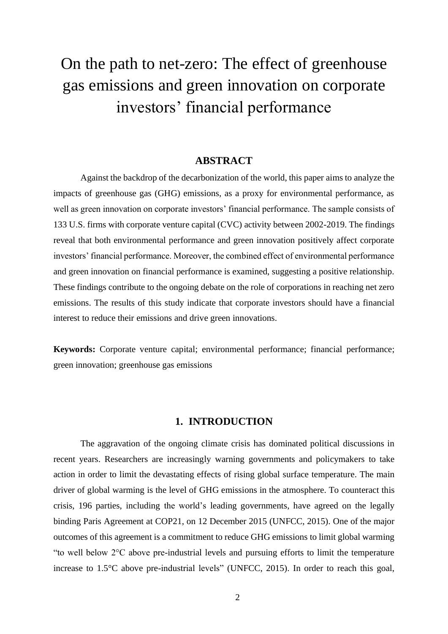# On the path to net-zero: The effect of greenhouse gas emissions and green innovation on corporate investors' financial performance

### **ABSTRACT**

Against the backdrop of the decarbonization of the world, this paper aims to analyze the impacts of greenhouse gas (GHG) emissions, as a proxy for environmental performance, as well as green innovation on corporate investors' financial performance. The sample consists of 133 U.S. firms with corporate venture capital (CVC) activity between 2002-2019. The findings reveal that both environmental performance and green innovation positively affect corporate investors' financial performance. Moreover, the combined effect of environmental performance and green innovation on financial performance is examined, suggesting a positive relationship. These findings contribute to the ongoing debate on the role of corporations in reaching net zero emissions. The results of this study indicate that corporate investors should have a financial interest to reduce their emissions and drive green innovations.

**Keywords:** Corporate venture capital; environmental performance; financial performance; green innovation; greenhouse gas emissions

### **1. INTRODUCTION**

The aggravation of the ongoing climate crisis has dominated political discussions in recent years. Researchers are increasingly warning governments and policymakers to take action in order to limit the devastating effects of rising global surface temperature. The main driver of global warming is the level of GHG emissions in the atmosphere. To counteract this crisis, 196 parties, including the world's leading governments, have agreed on the legally binding Paris Agreement at COP21, on 12 December 2015 (UNFCC, 2015). One of the major outcomes of this agreement is a commitment to reduce GHG emissions to limit global warming "to well below 2°C above pre-industrial levels and pursuing efforts to limit the temperature increase to 1.5°C above pre-industrial levels" (UNFCC, 2015). In order to reach this goal,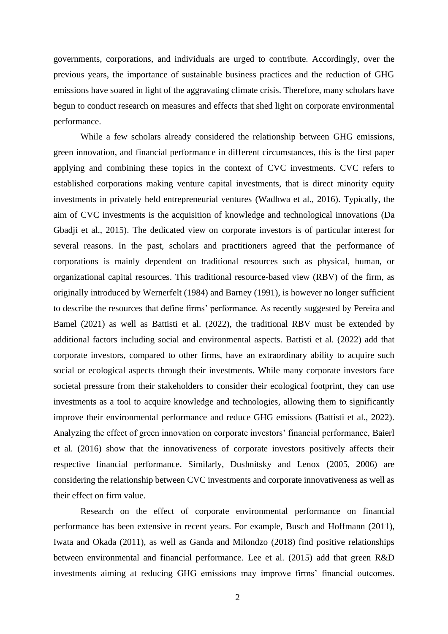governments, corporations, and individuals are urged to contribute. Accordingly, over the previous years, the importance of sustainable business practices and the reduction of GHG emissions have soared in light of the aggravating climate crisis. Therefore, many scholars have begun to conduct research on measures and effects that shed light on corporate environmental performance.

While a few scholars already considered the relationship between GHG emissions, green innovation, and financial performance in different circumstances, this is the first paper applying and combining these topics in the context of CVC investments. CVC refers to established corporations making venture capital investments, that is direct minority equity investments in privately held entrepreneurial ventures (Wadhwa et al., 2016). Typically, the aim of CVC investments is the acquisition of knowledge and technological innovations (Da Gbadji et al., 2015). The dedicated view on corporate investors is of particular interest for several reasons. In the past, scholars and practitioners agreed that the performance of corporations is mainly dependent on traditional resources such as physical, human, or organizational capital resources. This traditional resource-based view (RBV) of the firm, as originally introduced by Wernerfelt (1984) and Barney (1991), is however no longer sufficient to describe the resources that define firms' performance. As recently suggested by Pereira and Bamel (2021) as well as Battisti et al. (2022), the traditional RBV must be extended by additional factors including social and environmental aspects. Battisti et al. (2022) add that corporate investors, compared to other firms, have an extraordinary ability to acquire such social or ecological aspects through their investments. While many corporate investors face societal pressure from their stakeholders to consider their ecological footprint, they can use investments as a tool to acquire knowledge and technologies, allowing them to significantly improve their environmental performance and reduce GHG emissions (Battisti et al., 2022). Analyzing the effect of green innovation on corporate investors' financial performance, Baierl et al. (2016) show that the innovativeness of corporate investors positively affects their respective financial performance. Similarly, Dushnitsky and Lenox (2005, 2006) are considering the relationship between CVC investments and corporate innovativeness as well as their effect on firm value.

Research on the effect of corporate environmental performance on financial performance has been extensive in recent years. For example, Busch and Hoffmann (2011), Iwata and Okada (2011), as well as Ganda and Milondzo (2018) find positive relationships between environmental and financial performance. Lee et al. (2015) add that green R&D investments aiming at reducing GHG emissions may improve firms' financial outcomes.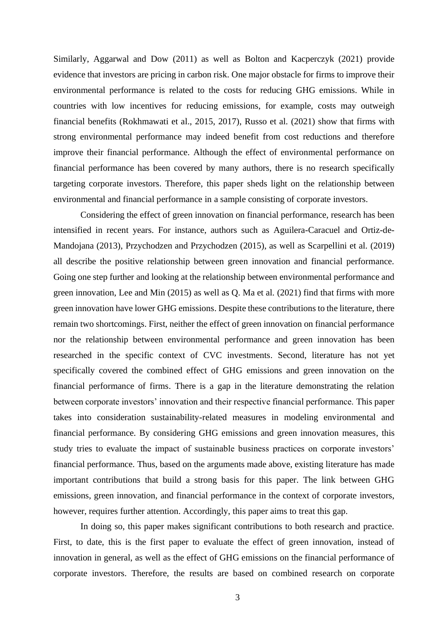Similarly, Aggarwal and Dow (2011) as well as Bolton and Kacperczyk (2021) provide evidence that investors are pricing in carbon risk. One major obstacle for firms to improve their environmental performance is related to the costs for reducing GHG emissions. While in countries with low incentives for reducing emissions, for example, costs may outweigh financial benefits (Rokhmawati et al., 2015, 2017), Russo et al. (2021) show that firms with strong environmental performance may indeed benefit from cost reductions and therefore improve their financial performance. Although the effect of environmental performance on financial performance has been covered by many authors, there is no research specifically targeting corporate investors. Therefore, this paper sheds light on the relationship between environmental and financial performance in a sample consisting of corporate investors.

Considering the effect of green innovation on financial performance, research has been intensified in recent years. For instance, authors such as Aguilera-Caracuel and Ortiz-de-Mandojana (2013), Przychodzen and Przychodzen (2015), as well as Scarpellini et al. (2019) all describe the positive relationship between green innovation and financial performance. Going one step further and looking at the relationship between environmental performance and green innovation, Lee and Min (2015) as well as Q. Ma et al. (2021) find that firms with more green innovation have lower GHG emissions. Despite these contributions to the literature, there remain two shortcomings. First, neither the effect of green innovation on financial performance nor the relationship between environmental performance and green innovation has been researched in the specific context of CVC investments. Second, literature has not yet specifically covered the combined effect of GHG emissions and green innovation on the financial performance of firms. There is a gap in the literature demonstrating the relation between corporate investors' innovation and their respective financial performance. This paper takes into consideration sustainability-related measures in modeling environmental and financial performance. By considering GHG emissions and green innovation measures, this study tries to evaluate the impact of sustainable business practices on corporate investors' financial performance. Thus, based on the arguments made above, existing literature has made important contributions that build a strong basis for this paper. The link between GHG emissions, green innovation, and financial performance in the context of corporate investors, however, requires further attention. Accordingly, this paper aims to treat this gap.

In doing so, this paper makes significant contributions to both research and practice. First, to date, this is the first paper to evaluate the effect of green innovation, instead of innovation in general, as well as the effect of GHG emissions on the financial performance of corporate investors. Therefore, the results are based on combined research on corporate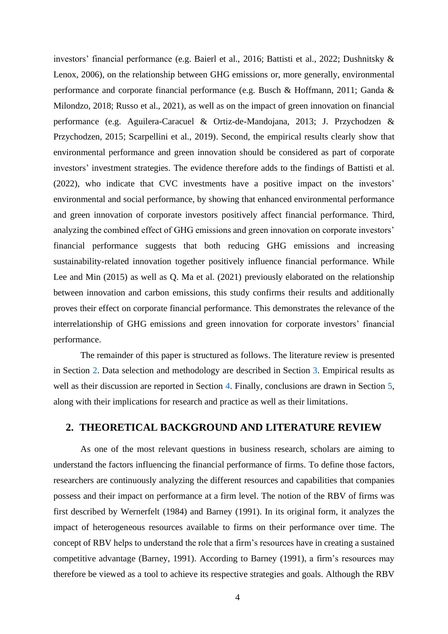investors' financial performance (e.g. Baierl et al., 2016; Battisti et al., 2022; Dushnitsky & Lenox, 2006), on the relationship between GHG emissions or, more generally, environmental performance and corporate financial performance (e.g. Busch & Hoffmann, 2011; Ganda & Milondzo, 2018; Russo et al., 2021), as well as on the impact of green innovation on financial performance (e.g. Aguilera-Caracuel & Ortiz-de-Mandojana, 2013; J. Przychodzen & Przychodzen, 2015; Scarpellini et al., 2019). Second, the empirical results clearly show that environmental performance and green innovation should be considered as part of corporate investors' investment strategies. The evidence therefore adds to the findings of Battisti et al. (2022), who indicate that CVC investments have a positive impact on the investors' environmental and social performance, by showing that enhanced environmental performance and green innovation of corporate investors positively affect financial performance. Third, analyzing the combined effect of GHG emissions and green innovation on corporate investors' financial performance suggests that both reducing GHG emissions and increasing sustainability-related innovation together positively influence financial performance. While Lee and Min (2015) as well as Q. Ma et al. (2021) previously elaborated on the relationship between innovation and carbon emissions, this study confirms their results and additionally proves their effect on corporate financial performance. This demonstrates the relevance of the interrelationship of GHG emissions and green innovation for corporate investors' financial performance.

The remainder of this paper is structured as follows. The literature review is presented in Section [2.](#page-4-0) Data selection and methodology are described in Section [3.](#page-10-0) Empirical results as well as their discussion are reported in Section [4.](#page-14-0) Finally, conclusions are drawn in Section [5,](#page-24-0) along with their implications for research and practice as well as their limitations.

# <span id="page-4-0"></span>**2. THEORETICAL BACKGROUND AND LITERATURE REVIEW**

As one of the most relevant questions in business research, scholars are aiming to understand the factors influencing the financial performance of firms. To define those factors, researchers are continuously analyzing the different resources and capabilities that companies possess and their impact on performance at a firm level. The notion of the RBV of firms was first described by Wernerfelt (1984) and Barney (1991). In its original form, it analyzes the impact of heterogeneous resources available to firms on their performance over time. The concept of RBV helps to understand the role that a firm's resources have in creating a sustained competitive advantage (Barney, 1991). According to Barney (1991), a firm's resources may therefore be viewed as a tool to achieve its respective strategies and goals. Although the RBV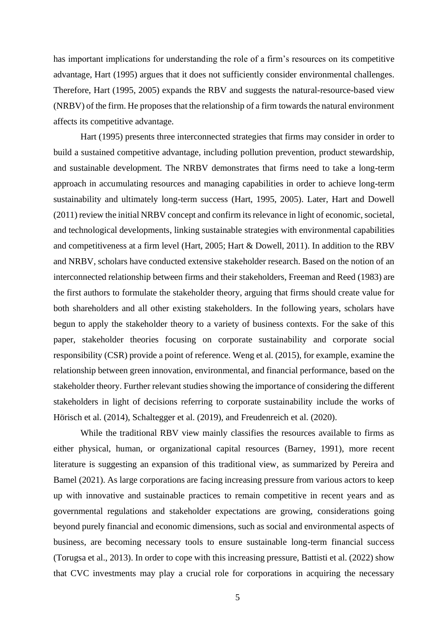has important implications for understanding the role of a firm's resources on its competitive advantage, Hart (1995) argues that it does not sufficiently consider environmental challenges. Therefore, Hart (1995, 2005) expands the RBV and suggests the natural-resource-based view (NRBV) of the firm. He proposes that the relationship of a firm towards the natural environment affects its competitive advantage.

Hart (1995) presents three interconnected strategies that firms may consider in order to build a sustained competitive advantage, including pollution prevention, product stewardship, and sustainable development. The NRBV demonstrates that firms need to take a long-term approach in accumulating resources and managing capabilities in order to achieve long-term sustainability and ultimately long-term success (Hart, 1995, 2005). Later, Hart and Dowell (2011) review the initial NRBV concept and confirm its relevance in light of economic, societal, and technological developments, linking sustainable strategies with environmental capabilities and competitiveness at a firm level (Hart, 2005; Hart & Dowell, 2011). In addition to the RBV and NRBV, scholars have conducted extensive stakeholder research. Based on the notion of an interconnected relationship between firms and their stakeholders, Freeman and Reed (1983) are the first authors to formulate the stakeholder theory, arguing that firms should create value for both shareholders and all other existing stakeholders. In the following years, scholars have begun to apply the stakeholder theory to a variety of business contexts. For the sake of this paper, stakeholder theories focusing on corporate sustainability and corporate social responsibility (CSR) provide a point of reference. Weng et al. (2015), for example, examine the relationship between green innovation, environmental, and financial performance, based on the stakeholder theory. Further relevant studies showing the importance of considering the different stakeholders in light of decisions referring to corporate sustainability include the works of Hörisch et al. (2014), Schaltegger et al. (2019), and Freudenreich et al. (2020).

While the traditional RBV view mainly classifies the resources available to firms as either physical, human, or organizational capital resources (Barney, 1991), more recent literature is suggesting an expansion of this traditional view, as summarized by Pereira and Bamel (2021). As large corporations are facing increasing pressure from various actors to keep up with innovative and sustainable practices to remain competitive in recent years and as governmental regulations and stakeholder expectations are growing, considerations going beyond purely financial and economic dimensions, such as social and environmental aspects of business, are becoming necessary tools to ensure sustainable long-term financial success (Torugsa et al., 2013). In order to cope with this increasing pressure, Battisti et al. (2022) show that CVC investments may play a crucial role for corporations in acquiring the necessary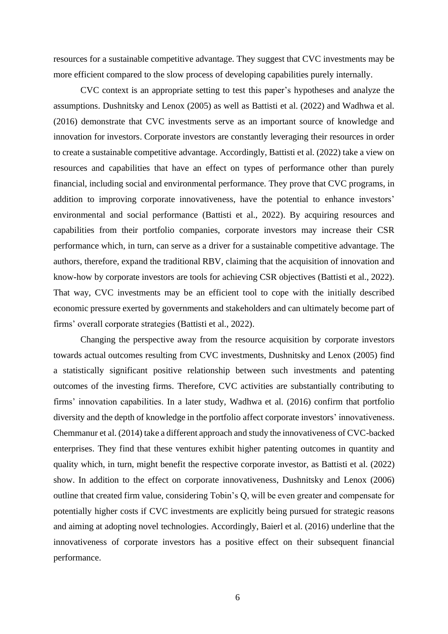resources for a sustainable competitive advantage. They suggest that CVC investments may be more efficient compared to the slow process of developing capabilities purely internally.

CVC context is an appropriate setting to test this paper's hypotheses and analyze the assumptions. Dushnitsky and Lenox (2005) as well as Battisti et al. (2022) and Wadhwa et al. (2016) demonstrate that CVC investments serve as an important source of knowledge and innovation for investors. Corporate investors are constantly leveraging their resources in order to create a sustainable competitive advantage. Accordingly, Battisti et al. (2022) take a view on resources and capabilities that have an effect on types of performance other than purely financial, including social and environmental performance. They prove that CVC programs, in addition to improving corporate innovativeness, have the potential to enhance investors' environmental and social performance (Battisti et al., 2022). By acquiring resources and capabilities from their portfolio companies, corporate investors may increase their CSR performance which, in turn, can serve as a driver for a sustainable competitive advantage. The authors, therefore, expand the traditional RBV, claiming that the acquisition of innovation and know-how by corporate investors are tools for achieving CSR objectives (Battisti et al., 2022). That way, CVC investments may be an efficient tool to cope with the initially described economic pressure exerted by governments and stakeholders and can ultimately become part of firms' overall corporate strategies (Battisti et al., 2022).

Changing the perspective away from the resource acquisition by corporate investors towards actual outcomes resulting from CVC investments, Dushnitsky and Lenox (2005) find a statistically significant positive relationship between such investments and patenting outcomes of the investing firms. Therefore, CVC activities are substantially contributing to firms' innovation capabilities. In a later study, Wadhwa et al. (2016) confirm that portfolio diversity and the depth of knowledge in the portfolio affect corporate investors' innovativeness. Chemmanur et al. (2014) take a different approach and study the innovativeness of CVC-backed enterprises. They find that these ventures exhibit higher patenting outcomes in quantity and quality which, in turn, might benefit the respective corporate investor, as Battisti et al. (2022) show. In addition to the effect on corporate innovativeness, Dushnitsky and Lenox (2006) outline that created firm value, considering Tobin's Q, will be even greater and compensate for potentially higher costs if CVC investments are explicitly being pursued for strategic reasons and aiming at adopting novel technologies. Accordingly, Baierl et al. (2016) underline that the innovativeness of corporate investors has a positive effect on their subsequent financial performance.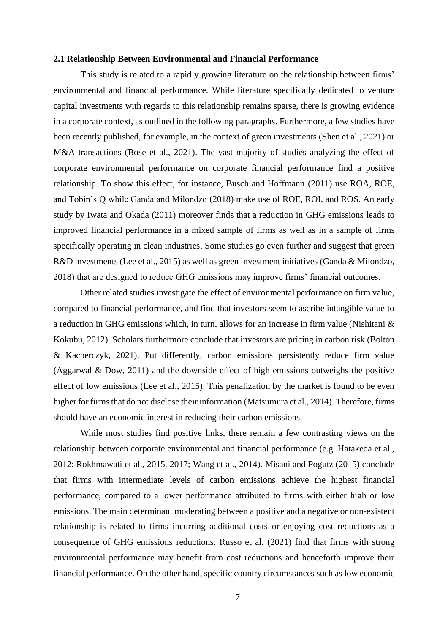#### **2.1 Relationship Between Environmental and Financial Performance**

This study is related to a rapidly growing literature on the relationship between firms' environmental and financial performance. While literature specifically dedicated to venture capital investments with regards to this relationship remains sparse, there is growing evidence in a corporate context, as outlined in the following paragraphs. Furthermore, a few studies have been recently published, for example, in the context of green investments (Shen et al., 2021) or M&A transactions (Bose et al., 2021). The vast majority of studies analyzing the effect of corporate environmental performance on corporate financial performance find a positive relationship. To show this effect, for instance, Busch and Hoffmann (2011) use ROA, ROE, and Tobin's Q while Ganda and Milondzo (2018) make use of ROE, ROI, and ROS. An early study by Iwata and Okada (2011) moreover finds that a reduction in GHG emissions leads to improved financial performance in a mixed sample of firms as well as in a sample of firms specifically operating in clean industries. Some studies go even further and suggest that green R&D investments (Lee et al., 2015) as well as green investment initiatives (Ganda & Milondzo, 2018) that are designed to reduce GHG emissions may improve firms' financial outcomes.

Other related studies investigate the effect of environmental performance on firm value, compared to financial performance, and find that investors seem to ascribe intangible value to a reduction in GHG emissions which, in turn, allows for an increase in firm value (Nishitani & Kokubu, 2012). Scholars furthermore conclude that investors are pricing in carbon risk (Bolton & Kacperczyk, 2021). Put differently, carbon emissions persistently reduce firm value (Aggarwal & Dow, 2011) and the downside effect of high emissions outweighs the positive effect of low emissions (Lee et al., 2015). This penalization by the market is found to be even higher for firms that do not disclose their information (Matsumura et al., 2014). Therefore, firms should have an economic interest in reducing their carbon emissions.

While most studies find positive links, there remain a few contrasting views on the relationship between corporate environmental and financial performance (e.g. Hatakeda et al., 2012; Rokhmawati et al., 2015, 2017; Wang et al., 2014). Misani and Pogutz (2015) conclude that firms with intermediate levels of carbon emissions achieve the highest financial performance, compared to a lower performance attributed to firms with either high or low emissions. The main determinant moderating between a positive and a negative or non-existent relationship is related to firms incurring additional costs or enjoying cost reductions as a consequence of GHG emissions reductions. Russo et al. (2021) find that firms with strong environmental performance may benefit from cost reductions and henceforth improve their financial performance. On the other hand, specific country circumstances such as low economic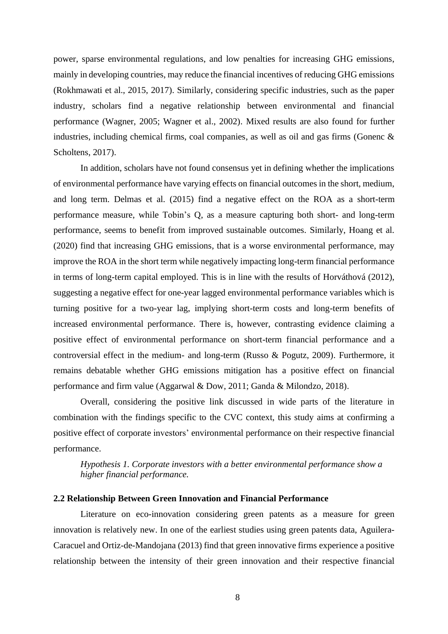power, sparse environmental regulations, and low penalties for increasing GHG emissions, mainly in developing countries, may reduce the financial incentives of reducing GHG emissions (Rokhmawati et al., 2015, 2017). Similarly, considering specific industries, such as the paper industry, scholars find a negative relationship between environmental and financial performance (Wagner, 2005; Wagner et al., 2002). Mixed results are also found for further industries, including chemical firms, coal companies, as well as oil and gas firms (Gonenc  $\&$ Scholtens, 2017).

In addition, scholars have not found consensus yet in defining whether the implications of environmental performance have varying effects on financial outcomes in the short, medium, and long term. Delmas et al. (2015) find a negative effect on the ROA as a short-term performance measure, while Tobin's Q, as a measure capturing both short- and long-term performance, seems to benefit from improved sustainable outcomes. Similarly, Hoang et al. (2020) find that increasing GHG emissions, that is a worse environmental performance, may improve the ROA in the short term while negatively impacting long-term financial performance in terms of long-term capital employed. This is in line with the results of Horváthová (2012), suggesting a negative effect for one-year lagged environmental performance variables which is turning positive for a two-year lag, implying short-term costs and long-term benefits of increased environmental performance. There is, however, contrasting evidence claiming a positive effect of environmental performance on short-term financial performance and a controversial effect in the medium- and long-term (Russo & Pogutz, 2009). Furthermore, it remains debatable whether GHG emissions mitigation has a positive effect on financial performance and firm value (Aggarwal & Dow, 2011; Ganda & Milondzo, 2018).

Overall, considering the positive link discussed in wide parts of the literature in combination with the findings specific to the CVC context, this study aims at confirming a positive effect of corporate investors' environmental performance on their respective financial performance.

*Hypothesis 1. Corporate investors with a better environmental performance show a higher financial performance.*

#### **2.2 Relationship Between Green Innovation and Financial Performance**

Literature on eco-innovation considering green patents as a measure for green innovation is relatively new. In one of the earliest studies using green patents data, Aguilera-Caracuel and Ortiz-de-Mandojana (2013) find that green innovative firms experience a positive relationship between the intensity of their green innovation and their respective financial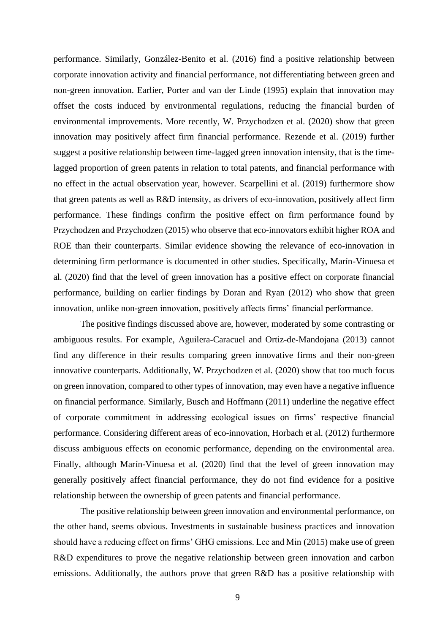performance. Similarly, González-Benito et al. (2016) find a positive relationship between corporate innovation activity and financial performance, not differentiating between green and non-green innovation. Earlier, Porter and van der Linde (1995) explain that innovation may offset the costs induced by environmental regulations, reducing the financial burden of environmental improvements. More recently, W. Przychodzen et al. (2020) show that green innovation may positively affect firm financial performance. Rezende et al. (2019) further suggest a positive relationship between time-lagged green innovation intensity, that is the timelagged proportion of green patents in relation to total patents, and financial performance with no effect in the actual observation year, however. Scarpellini et al. (2019) furthermore show that green patents as well as R&D intensity, as drivers of eco-innovation, positively affect firm performance. These findings confirm the positive effect on firm performance found by Przychodzen and Przychodzen (2015) who observe that eco-innovators exhibit higher ROA and ROE than their counterparts. Similar evidence showing the relevance of eco-innovation in determining firm performance is documented in other studies. Specifically, Marín-Vinuesa et al. (2020) find that the level of green innovation has a positive effect on corporate financial performance, building on earlier findings by Doran and Ryan (2012) who show that green innovation, unlike non-green innovation, positively affects firms' financial performance.

The positive findings discussed above are, however, moderated by some contrasting or ambiguous results. For example, Aguilera-Caracuel and Ortiz-de-Mandojana (2013) cannot find any difference in their results comparing green innovative firms and their non-green innovative counterparts. Additionally, W. Przychodzen et al. (2020) show that too much focus on green innovation, compared to other types of innovation, may even have a negative influence on financial performance. Similarly, Busch and Hoffmann (2011) underline the negative effect of corporate commitment in addressing ecological issues on firms' respective financial performance. Considering different areas of eco-innovation, Horbach et al. (2012) furthermore discuss ambiguous effects on economic performance, depending on the environmental area. Finally, although Marín-Vinuesa et al. (2020) find that the level of green innovation may generally positively affect financial performance, they do not find evidence for a positive relationship between the ownership of green patents and financial performance.

The positive relationship between green innovation and environmental performance, on the other hand, seems obvious. Investments in sustainable business practices and innovation should have a reducing effect on firms' GHG emissions. Lee and Min (2015) make use of green R&D expenditures to prove the negative relationship between green innovation and carbon emissions. Additionally, the authors prove that green R&D has a positive relationship with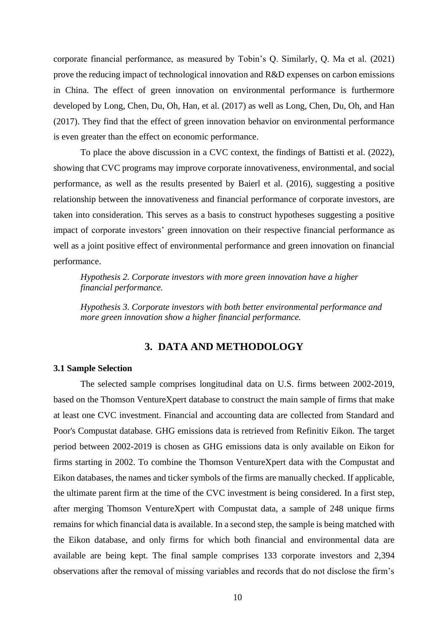corporate financial performance, as measured by Tobin's Q. Similarly, Q. Ma et al. (2021) prove the reducing impact of technological innovation and R&D expenses on carbon emissions in China. The effect of green innovation on environmental performance is furthermore developed by Long, Chen, Du, Oh, Han, et al. (2017) as well as Long, Chen, Du, Oh, and Han (2017). They find that the effect of green innovation behavior on environmental performance is even greater than the effect on economic performance.

To place the above discussion in a CVC context, the findings of Battisti et al. (2022), showing that CVC programs may improve corporate innovativeness, environmental, and social performance, as well as the results presented by Baierl et al. (2016), suggesting a positive relationship between the innovativeness and financial performance of corporate investors, are taken into consideration. This serves as a basis to construct hypotheses suggesting a positive impact of corporate investors' green innovation on their respective financial performance as well as a joint positive effect of environmental performance and green innovation on financial performance.

*Hypothesis 2. Corporate investors with more green innovation have a higher financial performance.*

*Hypothesis 3. Corporate investors with both better environmental performance and more green innovation show a higher financial performance.*

### **3. DATA AND METHODOLOGY**

#### <span id="page-10-0"></span>**3.1 Sample Selection**

The selected sample comprises longitudinal data on U.S. firms between 2002-2019, based on the Thomson VentureXpert database to construct the main sample of firms that make at least one CVC investment. Financial and accounting data are collected from Standard and Poor's Compustat database. GHG emissions data is retrieved from Refinitiv Eikon. The target period between 2002-2019 is chosen as GHG emissions data is only available on Eikon for firms starting in 2002. To combine the Thomson VentureXpert data with the Compustat and Eikon databases, the names and ticker symbols of the firms are manually checked. If applicable, the ultimate parent firm at the time of the CVC investment is being considered. In a first step, after merging Thomson VentureXpert with Compustat data, a sample of 248 unique firms remains for which financial data is available. In a second step, the sample is being matched with the Eikon database, and only firms for which both financial and environmental data are available are being kept. The final sample comprises 133 corporate investors and 2,394 observations after the removal of missing variables and records that do not disclose the firm's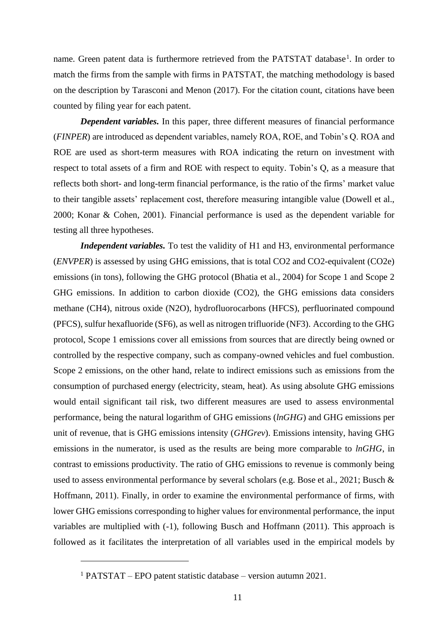name. Green patent data is furthermore retrieved from the PATSTAT database<sup>1</sup>. In order to match the firms from the sample with firms in PATSTAT, the matching methodology is based on the description by Tarasconi and Menon (2017). For the citation count, citations have been counted by filing year for each patent.

*Dependent variables.* In this paper, three different measures of financial performance (*FINPER*) are introduced as dependent variables, namely ROA, ROE, and Tobin's Q. ROA and ROE are used as short-term measures with ROA indicating the return on investment with respect to total assets of a firm and ROE with respect to equity. Tobin's Q, as a measure that reflects both short- and long-term financial performance, is the ratio of the firms' market value to their tangible assets' replacement cost, therefore measuring intangible value (Dowell et al., 2000; Konar & Cohen, 2001). Financial performance is used as the dependent variable for testing all three hypotheses.

*Independent variables.* To test the validity of H1 and H3, environmental performance (*ENVPER*) is assessed by using GHG emissions, that is total CO2 and CO2-equivalent (CO2e) emissions (in tons), following the GHG protocol (Bhatia et al., 2004) for Scope 1 and Scope 2 GHG emissions. In addition to carbon dioxide (CO2), the GHG emissions data considers methane (CH4), nitrous oxide (N2O), hydrofluorocarbons (HFCS), perfluorinated compound (PFCS), sulfur hexafluoride (SF6), as well as nitrogen trifluoride (NF3). According to the GHG protocol, Scope 1 emissions cover all emissions from sources that are directly being owned or controlled by the respective company, such as company-owned vehicles and fuel combustion. Scope 2 emissions, on the other hand, relate to indirect emissions such as emissions from the consumption of purchased energy (electricity, steam, heat). As using absolute GHG emissions would entail significant tail risk, two different measures are used to assess environmental performance, being the natural logarithm of GHG emissions (*lnGHG*) and GHG emissions per unit of revenue, that is GHG emissions intensity (*GHGrev*). Emissions intensity, having GHG emissions in the numerator, is used as the results are being more comparable to *lnGHG*, in contrast to emissions productivity. The ratio of GHG emissions to revenue is commonly being used to assess environmental performance by several scholars (e.g. Bose et al., 2021; Busch & Hoffmann, 2011). Finally, in order to examine the environmental performance of firms, with lower GHG emissions corresponding to higher values for environmental performance, the input variables are multiplied with (-1), following Busch and Hoffmann (2011). This approach is followed as it facilitates the interpretation of all variables used in the empirical models by

<sup>1</sup> PATSTAT – EPO patent statistic database – version autumn 2021.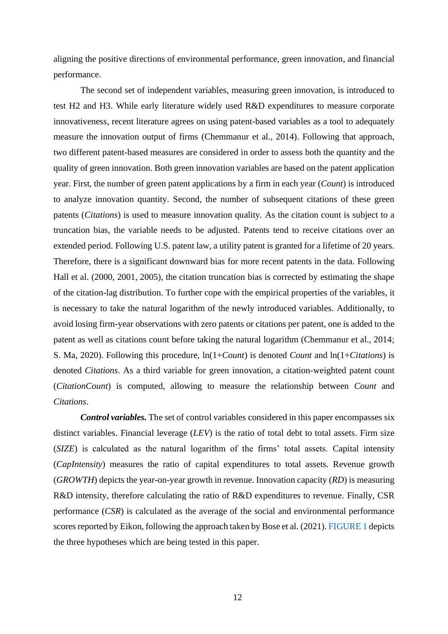aligning the positive directions of environmental performance, green innovation, and financial performance.

The second set of independent variables, measuring green innovation, is introduced to test H2 and H3. While early literature widely used R&D expenditures to measure corporate innovativeness, recent literature agrees on using patent-based variables as a tool to adequately measure the innovation output of firms (Chemmanur et al., 2014). Following that approach, two different patent-based measures are considered in order to assess both the quantity and the quality of green innovation. Both green innovation variables are based on the patent application year. First, the number of green patent applications by a firm in each year (*Count*) is introduced to analyze innovation quantity. Second, the number of subsequent citations of these green patents (*Citations*) is used to measure innovation quality. As the citation count is subject to a truncation bias, the variable needs to be adjusted. Patents tend to receive citations over an extended period. Following U.S. patent law, a utility patent is granted for a lifetime of 20 years. Therefore, there is a significant downward bias for more recent patents in the data. Following Hall et al. (2000, 2001, 2005), the citation truncation bias is corrected by estimating the shape of the citation-lag distribution. To further cope with the empirical properties of the variables, it is necessary to take the natural logarithm of the newly introduced variables. Additionally, to avoid losing firm-year observations with zero patents or citations per patent, one is added to the patent as well as citations count before taking the natural logarithm (Chemmanur et al., 2014; S. Ma, 2020). Following this procedure, ln(1+*Count*) is denoted *Count* and ln(1+*Citations*) is denoted *Citations*. As a third variable for green innovation, a citation-weighted patent count (*CitationCount*) is computed, allowing to measure the relationship between *Count* and *Citations*.

*Control variables.* The set of control variables considered in this paper encompasses six distinct variables. Financial leverage (*LEV*) is the ratio of total debt to total assets. Firm size (*SIZE*) is calculated as the natural logarithm of the firms' total assets. Capital intensity (*CapIntensity*) measures the ratio of capital expenditures to total assets. Revenue growth (*GROWTH*) depicts the year-on-year growth in revenue. Innovation capacity (*RD*) is measuring R&D intensity, therefore calculating the ratio of R&D expenditures to revenue. Finally, CSR performance (*CSR*) is calculated as the average of the social and environmental performance scores reported by Eikon, following the approach taken by Bose et al. (2021). [FIGURE 1](#page-30-0) depicts the three hypotheses which are being tested in this paper.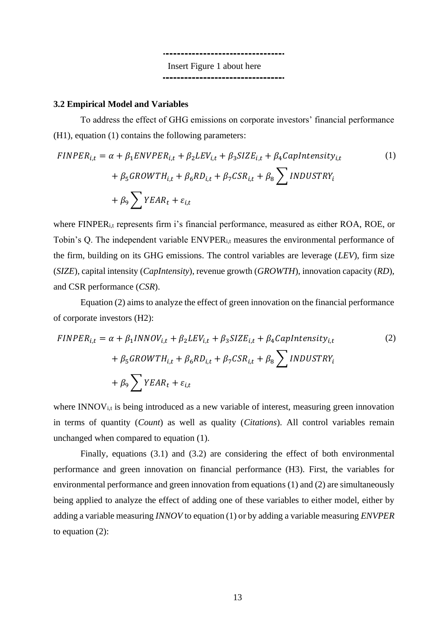Insert Figure 1 about here ---------------------------------

### **3.2 Empirical Model and Variables**

To address the effect of GHG emissions on corporate investors' financial performance (H1), equation (1) contains the following parameters:

$$
FINPER_{i,t} = \alpha + \beta_1 ENVPER_{i,t} + \beta_2 LEV_{i,t} + \beta_3 SIZE_{i,t} + \beta_4 CapIntensity_{i,t}
$$
  
+  $\beta_5 GROWTH_{i,t} + \beta_6 RD_{i,t} + \beta_7 CSR_{i,t} + \beta_8 \sum INDUSTRY_i$   
+  $\beta_9 \sum YEAR_t + \varepsilon_{i,t}$  (1)

where FINPER<sub>i,t</sub> represents firm i's financial performance, measured as either ROA, ROE, or Tobin's Q. The independent variable ENVPERi,t measures the environmental performance of the firm, building on its GHG emissions. The control variables are leverage (*LEV*), firm size (*SIZE*), capital intensity (*CapIntensity*), revenue growth (*GROWTH*), innovation capacity (*RD*), and CSR performance (*CSR*).

Equation (2) aims to analyze the effect of green innovation on the financial performance of corporate investors (H2):

$$
FINPER_{i,t} = \alpha + \beta_1 INNOV_{i,t} + \beta_2 LEV_{i,t} + \beta_3 SIZE_{i,t} + \beta_4 CapIntensity_{i,t}
$$
  
+  $\beta_5 GROWTH_{i,t} + \beta_6 RD_{i,t} + \beta_7 CSR_{i,t} + \beta_8 \sum INDUSTRY_i$   
+  $\beta_9 \sum YEAR_t + \varepsilon_{i,t}$  (2)

where  $INNOV<sub>i,t</sub>$  is being introduced as a new variable of interest, measuring green innovation in terms of quantity (*Count*) as well as quality (*Citations*). All control variables remain unchanged when compared to equation (1).

Finally, equations (3.1) and (3.2) are considering the effect of both environmental performance and green innovation on financial performance (H3). First, the variables for environmental performance and green innovation from equations (1) and (2) are simultaneously being applied to analyze the effect of adding one of these variables to either model, either by adding a variable measuring *INNOV* to equation (1) or by adding a variable measuring *ENVPER* to equation (2):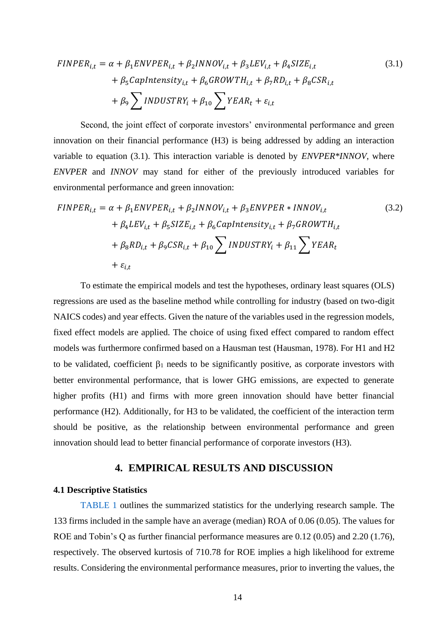$$
FINPER_{i,t} = \alpha + \beta_1 ENVPER_{i,t} + \beta_2 INNOV_{i,t} + \beta_3 LEV_{i,t} + \beta_4 SIZE_{i,t}
$$
  
+  $\beta_5 CapIntensity_{i,t} + \beta_6 GROWTH_{i,t} + \beta_7 RD_{i,t} + \beta_8 CSR_{i,t}$   
+  $\beta_9 \sum INDUSTRY_i + \beta_{10} \sum YEAR_t + \varepsilon_{i,t}$  (3.1)

Second, the joint effect of corporate investors' environmental performance and green innovation on their financial performance (H3) is being addressed by adding an interaction variable to equation (3.1). This interaction variable is denoted by *ENVPER\*INNOV*, where *ENVPER* and *INNOV* may stand for either of the previously introduced variables for environmental performance and green innovation:

$$
FINPER_{i,t} = \alpha + \beta_1 ENVPER_{i,t} + \beta_2 INNOV_{i,t} + \beta_3 ENVPER * INNOV_{i,t}
$$
  
+  $\beta_4 LEV_{i,t} + \beta_5 SIZE_{i,t} + \beta_6 CapIntensity_{i,t} + \beta_7 GROWTH_{i,t}$   
+  $\beta_8 RD_{i,t} + \beta_9 CSR_{i,t} + \beta_{10} \sum INDUSTRY_i + \beta_{11} \sum YEAR_t$   
+  $\varepsilon_{i,t}$  (3.2)

To estimate the empirical models and test the hypotheses, ordinary least squares (OLS) regressions are used as the baseline method while controlling for industry (based on two-digit NAICS codes) and year effects. Given the nature of the variables used in the regression models, fixed effect models are applied. The choice of using fixed effect compared to random effect models was furthermore confirmed based on a Hausman test (Hausman, 1978). For H1 and H2 to be validated, coefficient  $\beta_1$  needs to be significantly positive, as corporate investors with better environmental performance, that is lower GHG emissions, are expected to generate higher profits (H1) and firms with more green innovation should have better financial performance (H2). Additionally, for H3 to be validated, the coefficient of the interaction term should be positive, as the relationship between environmental performance and green innovation should lead to better financial performance of corporate investors (H3).

### **4. EMPIRICAL RESULTS AND DISCUSSION**

#### <span id="page-14-0"></span>**4.1 Descriptive Statistics**

[TABLE 1](#page-31-0) outlines the summarized statistics for the underlying research sample. The 133 firms included in the sample have an average (median) ROA of 0.06 (0.05). The values for ROE and Tobin's Q as further financial performance measures are 0.12 (0.05) and 2.20 (1.76), respectively. The observed kurtosis of 710.78 for ROE implies a high likelihood for extreme results. Considering the environmental performance measures, prior to inverting the values, the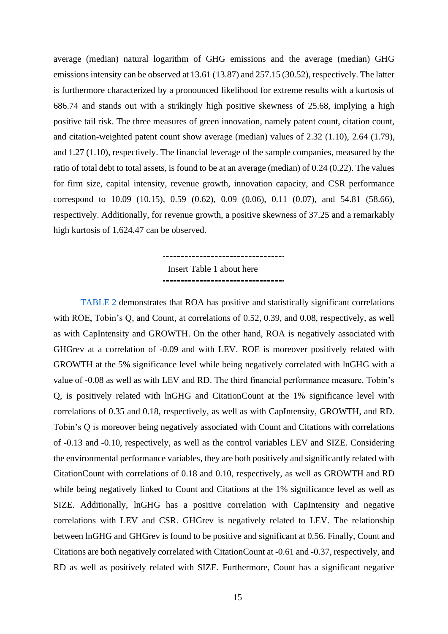average (median) natural logarithm of GHG emissions and the average (median) GHG emissions intensity can be observed at 13.61 (13.87) and 257.15 (30.52), respectively. The latter is furthermore characterized by a pronounced likelihood for extreme results with a kurtosis of 686.74 and stands out with a strikingly high positive skewness of 25.68, implying a high positive tail risk. The three measures of green innovation, namely patent count, citation count, and citation-weighted patent count show average (median) values of 2.32 (1.10), 2.64 (1.79), and 1.27 (1.10), respectively. The financial leverage of the sample companies, measured by the ratio of total debt to total assets, is found to be at an average (median) of 0.24 (0.22). The values for firm size, capital intensity, revenue growth, innovation capacity, and CSR performance correspond to 10.09 (10.15), 0.59 (0.62), 0.09 (0.06), 0.11 (0.07), and 54.81 (58.66), respectively. Additionally, for revenue growth, a positive skewness of 37.25 and a remarkably high kurtosis of 1,624.47 can be observed.

# Insert Table 1 about here ----------------------------------

[TABLE 2](#page-32-0) demonstrates that ROA has positive and statistically significant correlations with ROE, Tobin's Q, and Count, at correlations of 0.52, 0.39, and 0.08, respectively, as well as with CapIntensity and GROWTH. On the other hand, ROA is negatively associated with GHGrev at a correlation of -0.09 and with LEV. ROE is moreover positively related with GROWTH at the 5% significance level while being negatively correlated with lnGHG with a value of -0.08 as well as with LEV and RD. The third financial performance measure, Tobin's Q, is positively related with lnGHG and CitationCount at the 1% significance level with correlations of 0.35 and 0.18, respectively, as well as with CapIntensity, GROWTH, and RD. Tobin's Q is moreover being negatively associated with Count and Citations with correlations of -0.13 and -0.10, respectively, as well as the control variables LEV and SIZE. Considering the environmental performance variables, they are both positively and significantly related with CitationCount with correlations of 0.18 and 0.10, respectively, as well as GROWTH and RD while being negatively linked to Count and Citations at the 1% significance level as well as SIZE. Additionally, lnGHG has a positive correlation with CapIntensity and negative correlations with LEV and CSR. GHGrev is negatively related to LEV. The relationship between lnGHG and GHGrev is found to be positive and significant at 0.56. Finally, Count and Citations are both negatively correlated with CitationCount at -0.61 and -0.37, respectively, and RD as well as positively related with SIZE. Furthermore, Count has a significant negative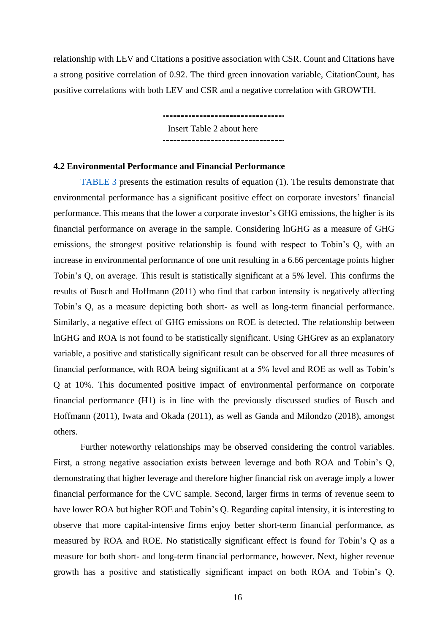relationship with LEV and Citations a positive association with CSR. Count and Citations have a strong positive correlation of 0.92. The third green innovation variable, CitationCount, has positive correlations with both LEV and CSR and a negative correlation with GROWTH.

> Insert Table 2 about here

#### **4.2 Environmental Performance and Financial Performance**

[TABLE 3](#page-33-0) presents the estimation results of equation (1). The results demonstrate that environmental performance has a significant positive effect on corporate investors' financial performance. This means that the lower a corporate investor's GHG emissions, the higher is its financial performance on average in the sample. Considering lnGHG as a measure of GHG emissions, the strongest positive relationship is found with respect to Tobin's Q, with an increase in environmental performance of one unit resulting in a 6.66 percentage points higher Tobin's Q, on average. This result is statistically significant at a 5% level. This confirms the results of Busch and Hoffmann (2011) who find that carbon intensity is negatively affecting Tobin's Q, as a measure depicting both short- as well as long-term financial performance. Similarly, a negative effect of GHG emissions on ROE is detected. The relationship between lnGHG and ROA is not found to be statistically significant. Using GHGrev as an explanatory variable, a positive and statistically significant result can be observed for all three measures of financial performance, with ROA being significant at a 5% level and ROE as well as Tobin's Q at 10%. This documented positive impact of environmental performance on corporate financial performance (H1) is in line with the previously discussed studies of Busch and Hoffmann (2011), Iwata and Okada (2011), as well as Ganda and Milondzo (2018), amongst others.

Further noteworthy relationships may be observed considering the control variables. First, a strong negative association exists between leverage and both ROA and Tobin's Q, demonstrating that higher leverage and therefore higher financial risk on average imply a lower financial performance for the CVC sample. Second, larger firms in terms of revenue seem to have lower ROA but higher ROE and Tobin's Q. Regarding capital intensity, it is interesting to observe that more capital-intensive firms enjoy better short-term financial performance, as measured by ROA and ROE. No statistically significant effect is found for Tobin's Q as a measure for both short- and long-term financial performance, however. Next, higher revenue growth has a positive and statistically significant impact on both ROA and Tobin's Q.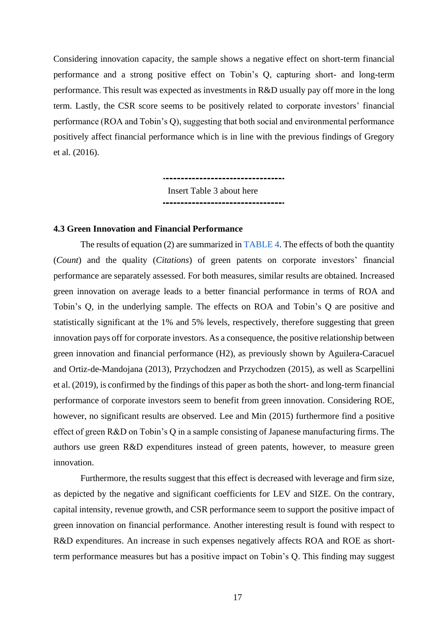Considering innovation capacity, the sample shows a negative effect on short-term financial performance and a strong positive effect on Tobin's Q, capturing short- and long-term performance. This result was expected as investments in R&D usually pay off more in the long term. Lastly, the CSR score seems to be positively related to corporate investors' financial performance (ROA and Tobin's Q), suggesting that both social and environmental performance positively affect financial performance which is in line with the previous findings of Gregory et al. (2016).

> Insert Table 3 about here ----------------------------------

### **4.3 Green Innovation and Financial Performance**

The results of equation (2) are summarized in [TABLE 4.](#page-34-0) The effects of both the quantity (*Count*) and the quality (*Citations*) of green patents on corporate investors' financial performance are separately assessed. For both measures, similar results are obtained. Increased green innovation on average leads to a better financial performance in terms of ROA and Tobin's Q, in the underlying sample. The effects on ROA and Tobin's Q are positive and statistically significant at the 1% and 5% levels, respectively, therefore suggesting that green innovation pays off for corporate investors. As a consequence, the positive relationship between green innovation and financial performance (H2), as previously shown by Aguilera-Caracuel and Ortiz-de-Mandojana (2013), Przychodzen and Przychodzen (2015), as well as Scarpellini et al. (2019), is confirmed by the findings of this paper as both the short- and long-term financial performance of corporate investors seem to benefit from green innovation. Considering ROE, however, no significant results are observed. Lee and Min (2015) furthermore find a positive effect of green R&D on Tobin's Q in a sample consisting of Japanese manufacturing firms. The authors use green R&D expenditures instead of green patents, however, to measure green innovation.

Furthermore, the results suggest that this effect is decreased with leverage and firm size, as depicted by the negative and significant coefficients for LEV and SIZE. On the contrary, capital intensity, revenue growth, and CSR performance seem to support the positive impact of green innovation on financial performance. Another interesting result is found with respect to R&D expenditures. An increase in such expenses negatively affects ROA and ROE as shortterm performance measures but has a positive impact on Tobin's Q. This finding may suggest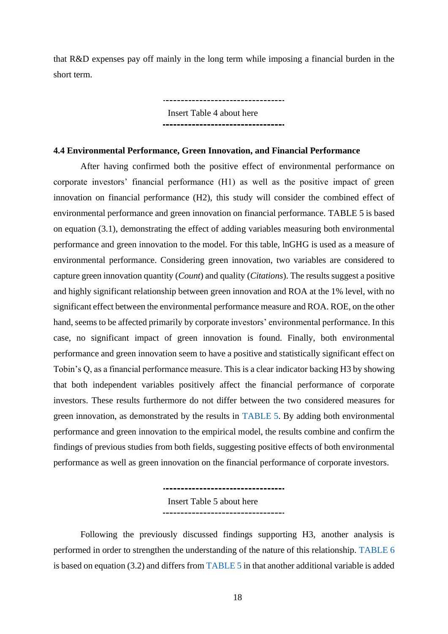that R&D expenses pay off mainly in the long term while imposing a financial burden in the short term.

> \_\_\_\_\_\_\_\_\_\_\_\_\_\_\_\_\_\_\_\_\_\_\_\_\_\_\_\_\_\_\_\_\_ Insert Table 4 about here ---------------------------------

#### **4.4 Environmental Performance, Green Innovation, and Financial Performance**

After having confirmed both the positive effect of environmental performance on corporate investors' financial performance (H1) as well as the positive impact of green innovation on financial performance (H2), this study will consider the combined effect of environmental performance and green innovation on financial performance. [TABLE 5](#page-35-0) is based on equation (3.1), demonstrating the effect of adding variables measuring both environmental performance and green innovation to the model. For this table, lnGHG is used as a measure of environmental performance. Considering green innovation, two variables are considered to capture green innovation quantity (*Count*) and quality (*Citations*). The results suggest a positive and highly significant relationship between green innovation and ROA at the 1% level, with no significant effect between the environmental performance measure and ROA. ROE, on the other hand, seems to be affected primarily by corporate investors' environmental performance. In this case, no significant impact of green innovation is found. Finally, both environmental performance and green innovation seem to have a positive and statistically significant effect on Tobin's Q, as a financial performance measure. This is a clear indicator backing H3 by showing that both independent variables positively affect the financial performance of corporate investors. These results furthermore do not differ between the two considered measures for green innovation, as demonstrated by the results in [TABLE 5.](#page-35-0) By adding both environmental performance and green innovation to the empirical model, the results combine and confirm the findings of previous studies from both fields, suggesting positive effects of both environmental performance as well as green innovation on the financial performance of corporate investors.

> .................................. Insert Table 5 about here -----------------------------------

Following the previously discussed findings supporting H3, another analysis is performed in order to strengthen the understanding of the nature of this relationship. [TABLE 6](#page-36-0) is based on equation (3.2) and differs from [TABLE 5](#page-35-0) in that another additional variable is added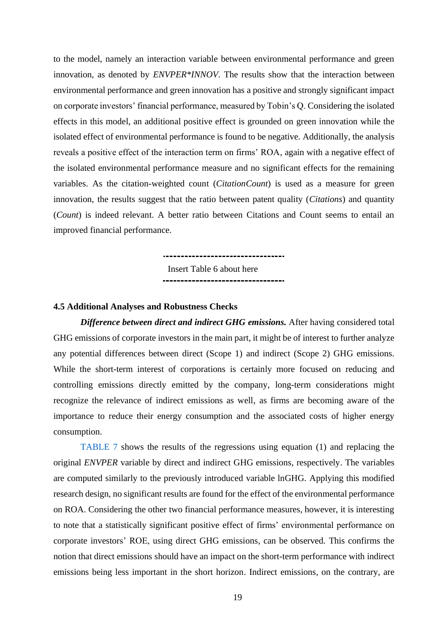to the model, namely an interaction variable between environmental performance and green innovation, as denoted by *ENVPER\*INNOV*. The results show that the interaction between environmental performance and green innovation has a positive and strongly significant impact on corporate investors' financial performance, measured by Tobin's Q. Considering the isolated effects in this model, an additional positive effect is grounded on green innovation while the isolated effect of environmental performance is found to be negative. Additionally, the analysis reveals a positive effect of the interaction term on firms' ROA, again with a negative effect of the isolated environmental performance measure and no significant effects for the remaining variables. As the citation-weighted count (*CitationCount*) is used as a measure for green innovation, the results suggest that the ratio between patent quality (*Citations*) and quantity (*Count*) is indeed relevant. A better ratio between Citations and Count seems to entail an improved financial performance.

> Insert Table 6 about here ----------------------------------

> \_\_\_\_\_\_\_\_\_\_\_\_\_\_\_\_\_\_\_\_\_\_\_\_\_\_\_\_\_\_\_\_\_\_\_\_

#### **4.5 Additional Analyses and Robustness Checks**

*Difference between direct and indirect GHG emissions.* After having considered total GHG emissions of corporate investors in the main part, it might be of interest to further analyze any potential differences between direct (Scope 1) and indirect (Scope 2) GHG emissions. While the short-term interest of corporations is certainly more focused on reducing and controlling emissions directly emitted by the company, long-term considerations might recognize the relevance of indirect emissions as well, as firms are becoming aware of the importance to reduce their energy consumption and the associated costs of higher energy consumption.

[TABLE 7](#page-37-0) shows the results of the regressions using equation (1) and replacing the original *ENVPER* variable by direct and indirect GHG emissions, respectively. The variables are computed similarly to the previously introduced variable lnGHG. Applying this modified research design, no significant results are found for the effect of the environmental performance on ROA. Considering the other two financial performance measures, however, it is interesting to note that a statistically significant positive effect of firms' environmental performance on corporate investors' ROE, using direct GHG emissions, can be observed. This confirms the notion that direct emissions should have an impact on the short-term performance with indirect emissions being less important in the short horizon. Indirect emissions, on the contrary, are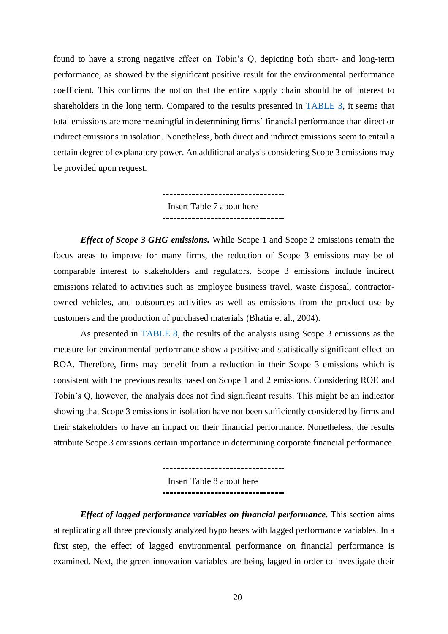found to have a strong negative effect on Tobin's Q, depicting both short- and long-term performance, as showed by the significant positive result for the environmental performance coefficient. This confirms the notion that the entire supply chain should be of interest to shareholders in the long term. Compared to the results presented in [TABLE 3,](#page-33-0) it seems that total emissions are more meaningful in determining firms' financial performance than direct or indirect emissions in isolation. Nonetheless, both direct and indirect emissions seem to entail a certain degree of explanatory power. An additional analysis considering Scope 3 emissions may be provided upon request.

> ---------------------------------Insert Table 7 about here ----------------------------------

*Effect of Scope 3 GHG emissions.* While Scope 1 and Scope 2 emissions remain the focus areas to improve for many firms, the reduction of Scope 3 emissions may be of comparable interest to stakeholders and regulators. Scope 3 emissions include indirect emissions related to activities such as employee business travel, waste disposal, contractorowned vehicles, and outsources activities as well as emissions from the product use by customers and the production of purchased materials (Bhatia et al., 2004).

As presented in [TABLE 8,](#page-38-0) the results of the analysis using Scope 3 emissions as the measure for environmental performance show a positive and statistically significant effect on ROA. Therefore, firms may benefit from a reduction in their Scope 3 emissions which is consistent with the previous results based on Scope 1 and 2 emissions. Considering ROE and Tobin's Q, however, the analysis does not find significant results. This might be an indicator showing that Scope 3 emissions in isolation have not been sufficiently considered by firms and their stakeholders to have an impact on their financial performance. Nonetheless, the results attribute Scope 3 emissions certain importance in determining corporate financial performance.

> -----------------------------------Insert Table 8 about here ----------------------------------

*Effect of lagged performance variables on financial performance.* This section aims at replicating all three previously analyzed hypotheses with lagged performance variables. In a first step, the effect of lagged environmental performance on financial performance is examined. Next, the green innovation variables are being lagged in order to investigate their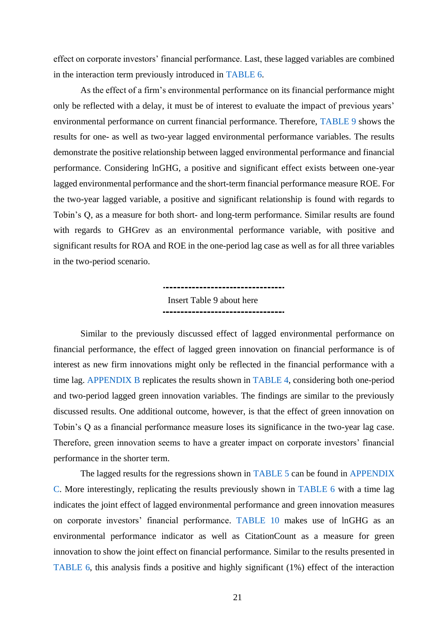effect on corporate investors' financial performance. Last, these lagged variables are combined in the interaction term previously introduced in [TABLE 6.](#page-36-0)

As the effect of a firm's environmental performance on its financial performance might only be reflected with a delay, it must be of interest to evaluate the impact of previous years' environmental performance on current financial performance. Therefore, [TABLE 9](#page-39-0) shows the results for one- as well as two-year lagged environmental performance variables. The results demonstrate the positive relationship between lagged environmental performance and financial performance. Considering lnGHG, a positive and significant effect exists between one-year lagged environmental performance and the short-term financial performance measure ROE. For the two-year lagged variable, a positive and significant relationship is found with regards to Tobin's Q, as a measure for both short- and long-term performance. Similar results are found with regards to GHGrev as an environmental performance variable, with positive and significant results for ROA and ROE in the one-period lag case as well as for all three variables in the two-period scenario.

> ----------------------------------Insert Table 9 about here ----------------------------------

Similar to the previously discussed effect of lagged environmental performance on financial performance, the effect of lagged green innovation on financial performance is of interest as new firm innovations might only be reflected in the financial performance with a time lag. [APPENDIX B](#page-45-0) replicates the results shown in [TABLE 4,](#page-34-0) considering both one-period and two-period lagged green innovation variables. The findings are similar to the previously discussed results. One additional outcome, however, is that the effect of green innovation on Tobin's Q as a financial performance measure loses its significance in the two-year lag case. Therefore, green innovation seems to have a greater impact on corporate investors' financial performance in the shorter term.

The lagged results for the regressions shown in [TABLE 5](#page-35-0) can be found in APPENDIX [C.](#page-46-0) More interestingly, replicating the results previously shown in [TABLE 6](#page-36-0) with a time lag indicates the joint effect of lagged environmental performance and green innovation measures on corporate investors' financial performance. [TABLE 10](#page-40-0) makes use of lnGHG as an environmental performance indicator as well as CitationCount as a measure for green innovation to show the joint effect on financial performance. Similar to the results presented in [TABLE 6,](#page-36-0) this analysis finds a positive and highly significant (1%) effect of the interaction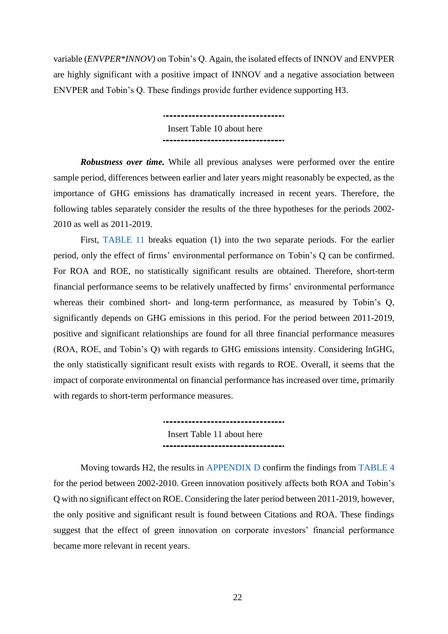variable (*ENVPER\*INNOV)* on Tobin's Q. Again, the isolated effects of INNOV and ENVPER are highly significant with a positive impact of INNOV and a negative association between ENVPER and Tobin's Q. These findings provide further evidence supporting H3.

> ----------------------------------Insert Table 10 about here ---------------------------------

*Robustness over time.* While all previous analyses were performed over the entire sample period, differences between earlier and later years might reasonably be expected, as the importance of GHG emissions has dramatically increased in recent years. Therefore, the following tables separately consider the results of the three hypotheses for the periods 2002- 2010 as well as 2011-2019.

First, [TABLE 11](#page-41-0) breaks equation (1) into the two separate periods. For the earlier period, only the effect of firms' environmental performance on Tobin's Q can be confirmed. For ROA and ROE, no statistically significant results are obtained. Therefore, short-term financial performance seems to be relatively unaffected by firms' environmental performance whereas their combined short- and long-term performance, as measured by Tobin's Q, significantly depends on GHG emissions in this period. For the period between 2011-2019, positive and significant relationships are found for all three financial performance measures (ROA, ROE, and Tobin's Q) with regards to GHG emissions intensity. Considering lnGHG, the only statistically significant result exists with regards to ROE. Overall, it seems that the impact of corporate environmental on financial performance has increased over time, primarily with regards to short-term performance measures.

> .................................. Insert Table 11 about here ----------------------------------

Moving towards H2, the results in [APPENDIX D](#page-47-0) confirm the findings from [TABLE 4](#page-34-0) for the period between 2002-2010. Green innovation positively affects both ROA and Tobin's Q with no significant effect on ROE. Considering the later period between 2011-2019, however, the only positive and significant result is found between Citations and ROA. These findings suggest that the effect of green innovation on corporate investors' financial performance became more relevant in recent years.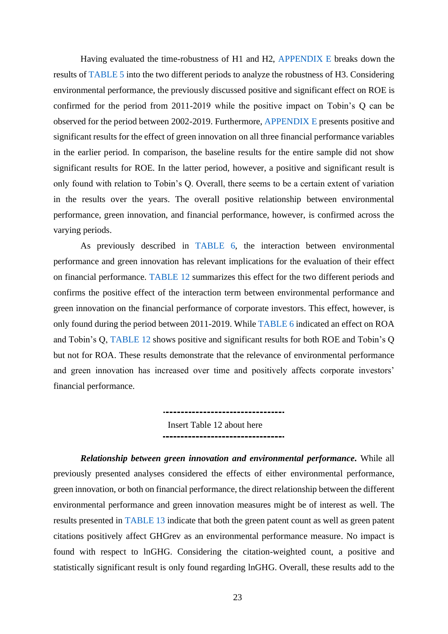Having evaluated the time-robustness of H1 and H2, [APPENDIX E](#page-48-0) breaks down the results of [TABLE 5](#page-35-0) into the two different periods to analyze the robustness of H3. Considering environmental performance, the previously discussed positive and significant effect on ROE is confirmed for the period from 2011-2019 while the positive impact on Tobin's Q can be observed for the period between 2002-2019. Furthermore, [APPENDIX E](#page-48-0) presents positive and significant results for the effect of green innovation on all three financial performance variables in the earlier period. In comparison, the baseline results for the entire sample did not show significant results for ROE. In the latter period, however, a positive and significant result is only found with relation to Tobin's Q. Overall, there seems to be a certain extent of variation in the results over the years. The overall positive relationship between environmental performance, green innovation, and financial performance, however, is confirmed across the varying periods.

As previously described in [TABLE 6,](#page-36-0) the interaction between environmental performance and green innovation has relevant implications for the evaluation of their effect on financial performance. [TABLE 12](#page-42-0) summarizes this effect for the two different periods and confirms the positive effect of the interaction term between environmental performance and green innovation on the financial performance of corporate investors. This effect, however, is only found during the period between 2011-2019. While [TABLE 6](#page-36-0) indicated an effect on ROA and Tobin's Q, [TABLE 12](#page-42-0) shows positive and significant results for both ROE and Tobin's Q but not for ROA. These results demonstrate that the relevance of environmental performance and green innovation has increased over time and positively affects corporate investors' financial performance.

> Insert Table 12 about here ----------------------------------

*Relationship between green innovation and environmental performance.* While all previously presented analyses considered the effects of either environmental performance, green innovation, or both on financial performance, the direct relationship between the different environmental performance and green innovation measures might be of interest as well. The results presented in [TABLE 13](#page-43-0) indicate that both the green patent count as well as green patent citations positively affect GHGrev as an environmental performance measure. No impact is found with respect to lnGHG. Considering the citation-weighted count, a positive and statistically significant result is only found regarding lnGHG. Overall, these results add to the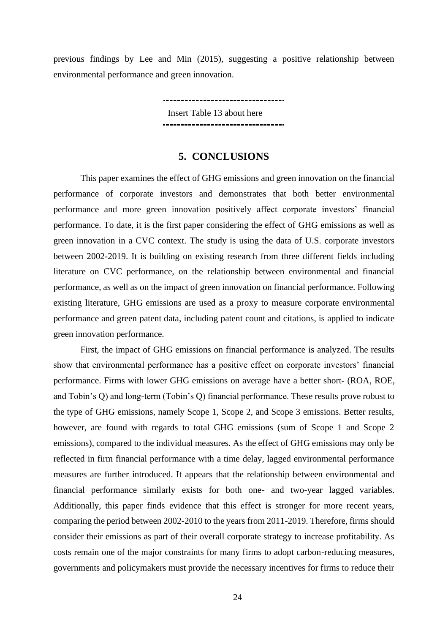previous findings by Lee and Min (2015), suggesting a positive relationship between environmental performance and green innovation.

> \_\_\_\_\_\_\_\_\_\_\_\_\_\_\_\_\_\_\_\_\_\_\_\_\_\_\_\_\_\_\_\_\_\_ Insert Table 13 about here ..................................

# **5. CONCLUSIONS**

<span id="page-24-0"></span>This paper examines the effect of GHG emissions and green innovation on the financial performance of corporate investors and demonstrates that both better environmental performance and more green innovation positively affect corporate investors' financial performance. To date, it is the first paper considering the effect of GHG emissions as well as green innovation in a CVC context. The study is using the data of U.S. corporate investors between 2002-2019. It is building on existing research from three different fields including literature on CVC performance, on the relationship between environmental and financial performance, as well as on the impact of green innovation on financial performance. Following existing literature, GHG emissions are used as a proxy to measure corporate environmental performance and green patent data, including patent count and citations, is applied to indicate green innovation performance.

First, the impact of GHG emissions on financial performance is analyzed. The results show that environmental performance has a positive effect on corporate investors' financial performance. Firms with lower GHG emissions on average have a better short- (ROA, ROE, and Tobin's Q) and long-term (Tobin's Q) financial performance. These results prove robust to the type of GHG emissions, namely Scope 1, Scope 2, and Scope 3 emissions. Better results, however, are found with regards to total GHG emissions (sum of Scope 1 and Scope 2 emissions), compared to the individual measures. As the effect of GHG emissions may only be reflected in firm financial performance with a time delay, lagged environmental performance measures are further introduced. It appears that the relationship between environmental and financial performance similarly exists for both one- and two-year lagged variables. Additionally, this paper finds evidence that this effect is stronger for more recent years, comparing the period between 2002-2010 to the years from 2011-2019. Therefore, firms should consider their emissions as part of their overall corporate strategy to increase profitability. As costs remain one of the major constraints for many firms to adopt carbon-reducing measures, governments and policymakers must provide the necessary incentives for firms to reduce their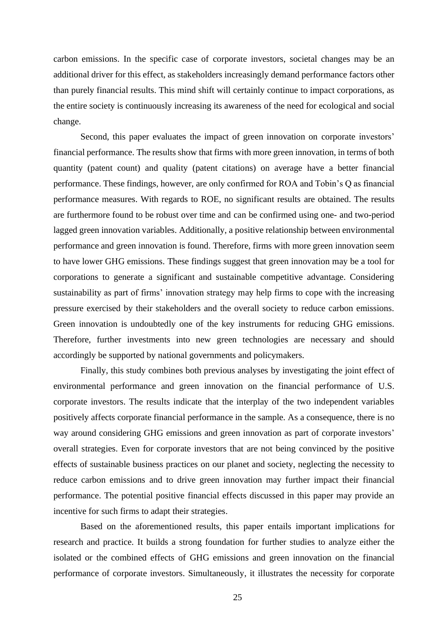carbon emissions. In the specific case of corporate investors, societal changes may be an additional driver for this effect, as stakeholders increasingly demand performance factors other than purely financial results. This mind shift will certainly continue to impact corporations, as the entire society is continuously increasing its awareness of the need for ecological and social change.

Second, this paper evaluates the impact of green innovation on corporate investors' financial performance. The results show that firms with more green innovation, in terms of both quantity (patent count) and quality (patent citations) on average have a better financial performance. These findings, however, are only confirmed for ROA and Tobin's Q as financial performance measures. With regards to ROE, no significant results are obtained. The results are furthermore found to be robust over time and can be confirmed using one- and two-period lagged green innovation variables. Additionally, a positive relationship between environmental performance and green innovation is found. Therefore, firms with more green innovation seem to have lower GHG emissions. These findings suggest that green innovation may be a tool for corporations to generate a significant and sustainable competitive advantage. Considering sustainability as part of firms' innovation strategy may help firms to cope with the increasing pressure exercised by their stakeholders and the overall society to reduce carbon emissions. Green innovation is undoubtedly one of the key instruments for reducing GHG emissions. Therefore, further investments into new green technologies are necessary and should accordingly be supported by national governments and policymakers.

Finally, this study combines both previous analyses by investigating the joint effect of environmental performance and green innovation on the financial performance of U.S. corporate investors. The results indicate that the interplay of the two independent variables positively affects corporate financial performance in the sample. As a consequence, there is no way around considering GHG emissions and green innovation as part of corporate investors' overall strategies. Even for corporate investors that are not being convinced by the positive effects of sustainable business practices on our planet and society, neglecting the necessity to reduce carbon emissions and to drive green innovation may further impact their financial performance. The potential positive financial effects discussed in this paper may provide an incentive for such firms to adapt their strategies.

Based on the aforementioned results, this paper entails important implications for research and practice. It builds a strong foundation for further studies to analyze either the isolated or the combined effects of GHG emissions and green innovation on the financial performance of corporate investors. Simultaneously, it illustrates the necessity for corporate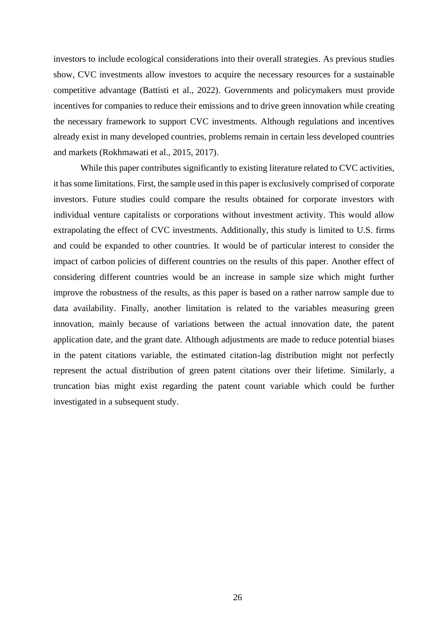investors to include ecological considerations into their overall strategies. As previous studies show, CVC investments allow investors to acquire the necessary resources for a sustainable competitive advantage (Battisti et al., 2022). Governments and policymakers must provide incentives for companies to reduce their emissions and to drive green innovation while creating the necessary framework to support CVC investments. Although regulations and incentives already exist in many developed countries, problems remain in certain less developed countries and markets (Rokhmawati et al., 2015, 2017).

While this paper contributes significantly to existing literature related to CVC activities, it has some limitations. First, the sample used in this paper is exclusively comprised of corporate investors. Future studies could compare the results obtained for corporate investors with individual venture capitalists or corporations without investment activity. This would allow extrapolating the effect of CVC investments. Additionally, this study is limited to U.S. firms and could be expanded to other countries. It would be of particular interest to consider the impact of carbon policies of different countries on the results of this paper. Another effect of considering different countries would be an increase in sample size which might further improve the robustness of the results, as this paper is based on a rather narrow sample due to data availability. Finally, another limitation is related to the variables measuring green innovation, mainly because of variations between the actual innovation date, the patent application date, and the grant date. Although adjustments are made to reduce potential biases in the patent citations variable, the estimated citation-lag distribution might not perfectly represent the actual distribution of green patent citations over their lifetime. Similarly, a truncation bias might exist regarding the patent count variable which could be further investigated in a subsequent study.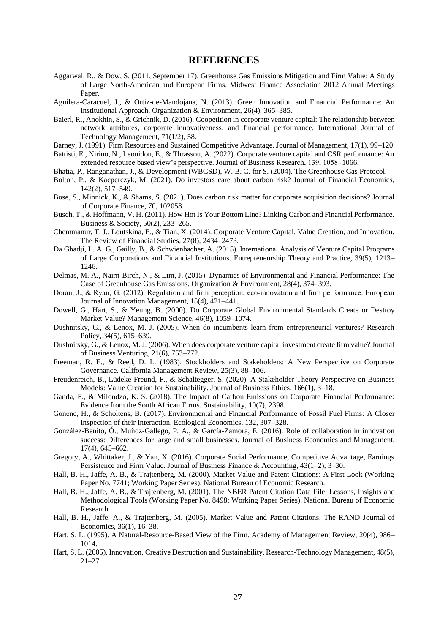### **REFERENCES**

- Aggarwal, R., & Dow, S. (2011, September 17). Greenhouse Gas Emissions Mitigation and Firm Value: A Study of Large North-American and European Firms. Midwest Finance Association 2012 Annual Meetings Paper.
- Aguilera-Caracuel, J., & Ortiz-de-Mandojana, N. (2013). Green Innovation and Financial Performance: An Institutional Approach. Organization & Environment, 26(4), 365–385.
- Baierl, R., Anokhin, S., & Grichnik, D. (2016). Coopetition in corporate venture capital: The relationship between network attributes, corporate innovativeness, and financial performance. International Journal of Technology Management, 71(1/2), 58.
- Barney, J. (1991). Firm Resources and Sustained Competitive Advantage. Journal of Management, 17(1), 99–120.
- Battisti, E., Nirino, N., Leonidou, E., & Thrassou, A. (2022). Corporate venture capital and CSR performance: An extended resource based view's perspective. Journal of Business Research, 139, 1058–1066.
- Bhatia, P., Ranganathan, J., & Development (WBCSD), W. B. C. for S. (2004). The Greenhouse Gas Protocol.
- Bolton, P., & Kacperczyk, M. (2021). Do investors care about carbon risk? Journal of Financial Economics, 142(2), 517–549.
- Bose, S., Minnick, K., & Shams, S. (2021). Does carbon risk matter for corporate acquisition decisions? Journal of Corporate Finance, 70, 102058.
- Busch, T., & Hoffmann, V. H. (2011). How Hot Is Your Bottom Line? Linking Carbon and Financial Performance. Business & Society, 50(2), 233–265.
- Chemmanur, T. J., Loutskina, E., & Tian, X. (2014). Corporate Venture Capital, Value Creation, and Innovation. The Review of Financial Studies, 27(8), 2434–2473.
- Da Gbadji, L. A. G., Gailly, B., & Schwienbacher, A. (2015). International Analysis of Venture Capital Programs of Large Corporations and Financial Institutions. Entrepreneurship Theory and Practice, 39(5), 1213– 1246.
- Delmas, M. A., Nairn-Birch, N., & Lim, J. (2015). Dynamics of Environmental and Financial Performance: The Case of Greenhouse Gas Emissions. Organization & Environment, 28(4), 374–393.
- Doran, J., & Ryan, G. (2012). Regulation and firm perception, eco-innovation and firm performance. European Journal of Innovation Management, 15(4), 421–441.
- Dowell, G., Hart, S., & Yeung, B. (2000). Do Corporate Global Environmental Standards Create or Destroy Market Value? Management Science, 46(8), 1059–1074.
- Dushnitsky, G., & Lenox, M. J. (2005). When do incumbents learn from entrepreneurial ventures? Research Policy, 34(5), 615–639.
- Dushnitsky, G., & Lenox, M. J. (2006). When does corporate venture capital investment create firm value? Journal of Business Venturing, 21(6), 753–772.
- Freeman, R. E., & Reed, D. L. (1983). Stockholders and Stakeholders: A New Perspective on Corporate Governance. California Management Review, 25(3), 88–106.
- Freudenreich, B., Lüdeke-Freund, F., & Schaltegger, S. (2020). A Stakeholder Theory Perspective on Business Models: Value Creation for Sustainability. Journal of Business Ethics, 166(1), 3–18.
- Ganda, F., & Milondzo, K. S. (2018). The Impact of Carbon Emissions on Corporate Financial Performance: Evidence from the South African Firms. Sustainability, 10(7), 2398.
- Gonenc, H., & Scholtens, B. (2017). Environmental and Financial Performance of Fossil Fuel Firms: A Closer Inspection of their Interaction. Ecological Economics, 132, 307–328.
- González-Benito, Ó., Muñoz-Gallego, P. A., & García-Zamora, E. (2016). Role of collaboration in innovation success: Differences for large and small businesses. Journal of Business Economics and Management, 17(4), 645–662.
- Gregory, A., Whittaker, J., & Yan, X. (2016). Corporate Social Performance, Competitive Advantage, Earnings Persistence and Firm Value. Journal of Business Finance & Accounting, 43(1–2), 3–30.
- Hall, B. H., Jaffe, A. B., & Trajtenberg, M. (2000). Market Value and Patent Citations: A First Look (Working Paper No. 7741; Working Paper Series). National Bureau of Economic Research.
- Hall, B. H., Jaffe, A. B., & Trajtenberg, M. (2001). The NBER Patent Citation Data File: Lessons, Insights and Methodological Tools (Working Paper No. 8498; Working Paper Series). National Bureau of Economic Research.
- Hall, B. H., Jaffe, A., & Trajtenberg, M. (2005). Market Value and Patent Citations. The RAND Journal of Economics, 36(1), 16–38.
- Hart, S. L. (1995). A Natural-Resource-Based View of the Firm. Academy of Management Review, 20(4), 986– 1014.
- Hart, S. L. (2005). Innovation, Creative Destruction and Sustainability. Research-Technology Management, 48(5), 21–27.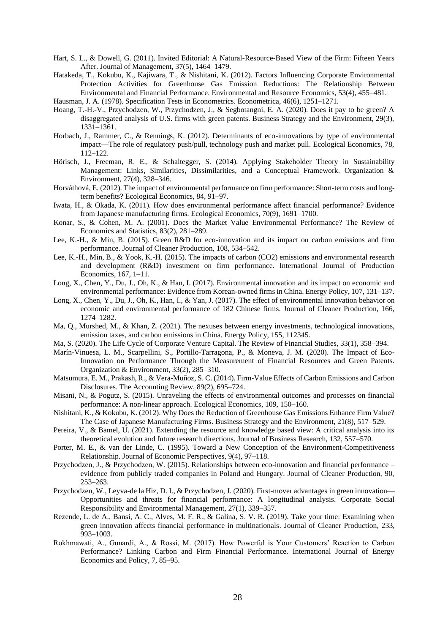- Hart, S. L., & Dowell, G. (2011). Invited Editorial: A Natural-Resource-Based View of the Firm: Fifteen Years After. Journal of Management, 37(5), 1464–1479.
- Hatakeda, T., Kokubu, K., Kajiwara, T., & Nishitani, K. (2012). Factors Influencing Corporate Environmental Protection Activities for Greenhouse Gas Emission Reductions: The Relationship Between Environmental and Financial Performance. Environmental and Resource Economics, 53(4), 455–481.
- Hausman, J. A. (1978). Specification Tests in Econometrics. Econometrica, 46(6), 1251–1271.
- Hoang, T.-H.-V., Przychodzen, W., Przychodzen, J., & Segbotangni, E. A. (2020). Does it pay to be green? A disaggregated analysis of U.S. firms with green patents. Business Strategy and the Environment, 29(3), 1331–1361.
- Horbach, J., Rammer, C., & Rennings, K. (2012). Determinants of eco-innovations by type of environmental impact—The role of regulatory push/pull, technology push and market pull. Ecological Economics, 78, 112–122.
- Hörisch, J., Freeman, R. E., & Schaltegger, S. (2014). Applying Stakeholder Theory in Sustainability Management: Links, Similarities, Dissimilarities, and a Conceptual Framework. Organization & Environment, 27(4), 328–346.
- Horváthová, E. (2012). The impact of environmental performance on firm performance: Short-term costs and longterm benefits? Ecological Economics, 84, 91–97.
- Iwata, H., & Okada, K. (2011). How does environmental performance affect financial performance? Evidence from Japanese manufacturing firms. Ecological Economics, 70(9), 1691–1700.
- Konar, S., & Cohen, M. A. (2001). Does the Market Value Environmental Performance? The Review of Economics and Statistics, 83(2), 281–289.
- Lee, K.-H., & Min, B. (2015). Green R&D for eco-innovation and its impact on carbon emissions and firm performance. Journal of Cleaner Production, 108, 534–542.
- Lee, K.-H., Min, B., & Yook, K.-H. (2015). The impacts of carbon (CO2) emissions and environmental research and development (R&D) investment on firm performance. International Journal of Production Economics, 167, 1–11.
- Long, X., Chen, Y., Du, J., Oh, K., & Han, I. (2017). Environmental innovation and its impact on economic and environmental performance: Evidence from Korean-owned firms in China. Energy Policy, 107, 131–137.
- Long, X., Chen, Y., Du, J., Oh, K., Han, I., & Yan, J. (2017). The effect of environmental innovation behavior on economic and environmental performance of 182 Chinese firms. Journal of Cleaner Production, 166, 1274–1282.
- Ma, Q., Murshed, M., & Khan, Z. (2021). The nexuses between energy investments, technological innovations, emission taxes, and carbon emissions in China. Energy Policy, 155, 112345.
- Ma, S. (2020). The Life Cycle of Corporate Venture Capital. The Review of Financial Studies, 33(1), 358–394.
- Marín-Vinuesa, L. M., Scarpellini, S., Portillo-Tarragona, P., & Moneva, J. M. (2020). The Impact of Eco-Innovation on Performance Through the Measurement of Financial Resources and Green Patents. Organization & Environment, 33(2), 285–310.
- Matsumura, E. M., Prakash, R., & Vera-Muñoz, S. C. (2014). Firm-Value Effects of Carbon Emissions and Carbon Disclosures. The Accounting Review, 89(2), 695–724.
- Misani, N., & Pogutz, S. (2015). Unraveling the effects of environmental outcomes and processes on financial performance: A non-linear approach. Ecological Economics, 109, 150–160.
- Nishitani, K., & Kokubu, K. (2012). Why Does the Reduction of Greenhouse Gas Emissions Enhance Firm Value? The Case of Japanese Manufacturing Firms. Business Strategy and the Environment, 21(8), 517–529.
- Pereira, V., & Bamel, U. (2021). Extending the resource and knowledge based view: A critical analysis into its theoretical evolution and future research directions. Journal of Business Research, 132, 557–570.
- Porter, M. E., & van der Linde, C. (1995). Toward a New Conception of the Environment-Competitiveness Relationship. Journal of Economic Perspectives, 9(4), 97–118.
- Przychodzen, J., & Przychodzen, W. (2015). Relationships between eco-innovation and financial performance evidence from publicly traded companies in Poland and Hungary. Journal of Cleaner Production, 90, 253–263.
- Przychodzen, W., Leyva-de la Hiz, D. I., & Przychodzen, J. (2020). First-mover advantages in green innovation— Opportunities and threats for financial performance: A longitudinal analysis. Corporate Social Responsibility and Environmental Management, 27(1), 339–357.
- Rezende, L. de A., Bansi, A. C., Alves, M. F. R., & Galina, S. V. R. (2019). Take your time: Examining when green innovation affects financial performance in multinationals. Journal of Cleaner Production, 233, 993–1003.
- Rokhmawati, A., Gunardi, A., & Rossi, M. (2017). How Powerful is Your Customers' Reaction to Carbon Performance? Linking Carbon and Firm Financial Performance. International Journal of Energy Economics and Policy, 7, 85–95.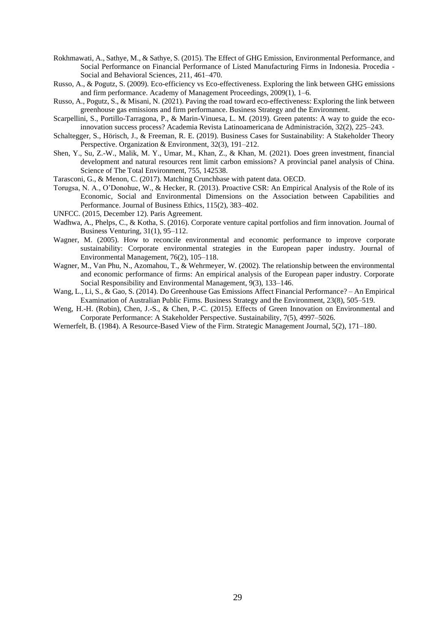- Rokhmawati, A., Sathye, M., & Sathye, S. (2015). The Effect of GHG Emission, Environmental Performance, and Social Performance on Financial Performance of Listed Manufacturing Firms in Indonesia. Procedia - Social and Behavioral Sciences, 211, 461–470.
- Russo, A., & Pogutz, S. (2009). Eco-efficiency vs Eco-effectiveness. Exploring the link between GHG emissions and firm performance. Academy of Management Proceedings, 2009(1), 1–6.
- Russo, A., Pogutz, S., & Misani, N. (2021). Paving the road toward eco-effectiveness: Exploring the link between greenhouse gas emissions and firm performance. Business Strategy and the Environment.
- Scarpellini, S., Portillo-Tarragona, P., & Marin-Vinuesa, L. M. (2019). Green patents: A way to guide the ecoinnovation success process? Academia Revista Latinoamericana de Administración, 32(2), 225–243.
- Schaltegger, S., Hörisch, J., & Freeman, R. E. (2019). Business Cases for Sustainability: A Stakeholder Theory Perspective. Organization & Environment, 32(3), 191-212.
- Shen, Y., Su, Z.-W., Malik, M. Y., Umar, M., Khan, Z., & Khan, M. (2021). Does green investment, financial development and natural resources rent limit carbon emissions? A provincial panel analysis of China. Science of The Total Environment, 755, 142538.
- Tarasconi, G., & Menon, C. (2017). Matching Crunchbase with patent data. OECD.
- Torugsa, N. A., O'Donohue, W., & Hecker, R. (2013). Proactive CSR: An Empirical Analysis of the Role of its Economic, Social and Environmental Dimensions on the Association between Capabilities and Performance. Journal of Business Ethics, 115(2), 383–402.
- UNFCC. (2015, December 12). Paris Agreement.
- Wadhwa, A., Phelps, C., & Kotha, S. (2016). Corporate venture capital portfolios and firm innovation. Journal of Business Venturing, 31(1), 95–112.
- Wagner, M. (2005). How to reconcile environmental and economic performance to improve corporate sustainability: Corporate environmental strategies in the European paper industry. Journal of Environmental Management, 76(2), 105–118.
- Wagner, M., Van Phu, N., Azomahou, T., & Wehrmeyer, W. (2002). The relationship between the environmental and economic performance of firms: An empirical analysis of the European paper industry. Corporate Social Responsibility and Environmental Management, 9(3), 133–146.
- Wang, L., Li, S., & Gao, S. (2014). Do Greenhouse Gas Emissions Affect Financial Performance? An Empirical Examination of Australian Public Firms. Business Strategy and the Environment, 23(8), 505–519.
- Weng, H.-H. (Robin), Chen, J.-S., & Chen, P.-C. (2015). Effects of Green Innovation on Environmental and Corporate Performance: A Stakeholder Perspective. Sustainability, 7(5), 4997–5026.
- Wernerfelt, B. (1984). A Resource-Based View of the Firm. Strategic Management Journal, 5(2), 171–180.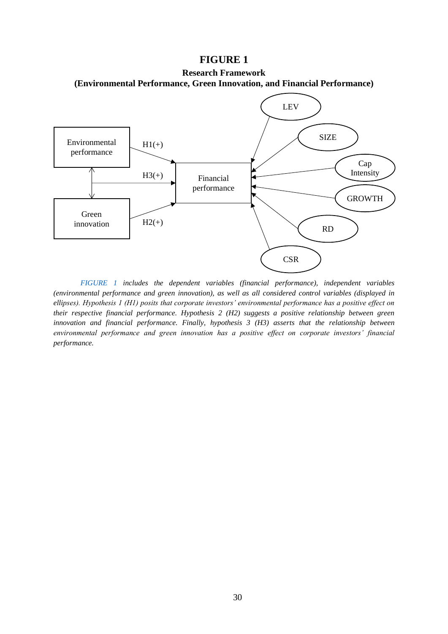### **FIGURE 1**

<span id="page-30-0"></span>**Research Framework (Environmental Performance, Green Innovation, and Financial Performance)**



*[FIGURE 1](#page-30-0) includes the dependent variables (financial performance), independent variables (environmental performance and green innovation), as well as all considered control variables (displayed in ellipses). Hypothesis 1 (H1) posits that corporate investors' environmental performance has a positive effect on their respective financial performance. Hypothesis 2 (H2) suggests a positive relationship between green innovation and financial performance. Finally, hypothesis 3 (H3) asserts that the relationship between environmental performance and green innovation has a positive effect on corporate investors' financial performance.*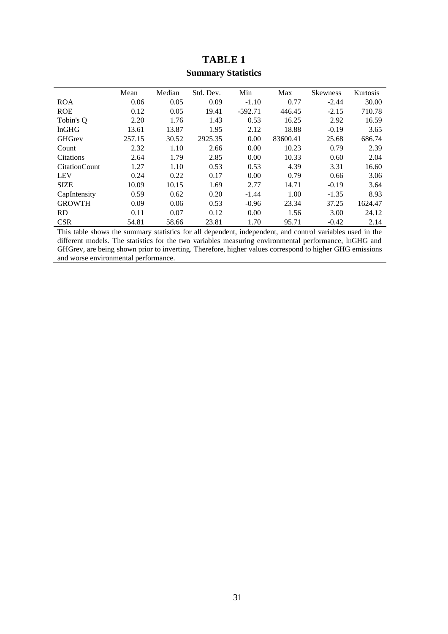<span id="page-31-0"></span>

|                      | Mean   | Median | Std. Dev. | Min       | Max      | Skewness | <b>Kurtosis</b> |
|----------------------|--------|--------|-----------|-----------|----------|----------|-----------------|
| <b>ROA</b>           | 0.06   | 0.05   | 0.09      | $-1.10$   | 0.77     | $-2.44$  | 30.00           |
| <b>ROE</b>           | 0.12   | 0.05   | 19.41     | $-592.71$ | 446.45   | $-2.15$  | 710.78          |
| Tobin's O            | 2.20   | 1.76   | 1.43      | 0.53      | 16.25    | 2.92     | 16.59           |
| lnGHG                | 13.61  | 13.87  | 1.95      | 2.12      | 18.88    | $-0.19$  | 3.65            |
| <b>GHGrev</b>        | 257.15 | 30.52  | 2925.35   | 0.00      | 83600.41 | 25.68    | 686.74          |
| Count                | 2.32   | 1.10   | 2.66      | 0.00      | 10.23    | 0.79     | 2.39            |
| <b>Citations</b>     | 2.64   | 1.79   | 2.85      | 0.00      | 10.33    | 0.60     | 2.04            |
| <b>CitationCount</b> | 1.27   | 1.10   | 0.53      | 0.53      | 4.39     | 3.31     | 16.60           |
| <b>LEV</b>           | 0.24   | 0.22   | 0.17      | 0.00      | 0.79     | 0.66     | 3.06            |
| <b>SIZE</b>          | 10.09  | 10.15  | 1.69      | 2.77      | 14.71    | $-0.19$  | 3.64            |
| CapIntensity         | 0.59   | 0.62   | 0.20      | $-1.44$   | 1.00     | $-1.35$  | 8.93            |
| <b>GROWTH</b>        | 0.09   | 0.06   | 0.53      | $-0.96$   | 23.34    | 37.25    | 1624.47         |
| <b>RD</b>            | 0.11   | 0.07   | 0.12      | 0.00      | 1.56     | 3.00     | 24.12           |
| <b>CSR</b>           | 54.81  | 58.66  | 23.81     | 1.70      | 95.71    | $-0.42$  | 2.14            |

# **TABLE 1 Summary Statistics**

This table shows the summary statistics for all dependent, independent, and control variables used in the different models. The statistics for the two variables measuring environmental performance, lnGHG and GHGrev, are being shown prior to inverting. Therefore, higher values correspond to higher GHG emissions and worse environmental performance.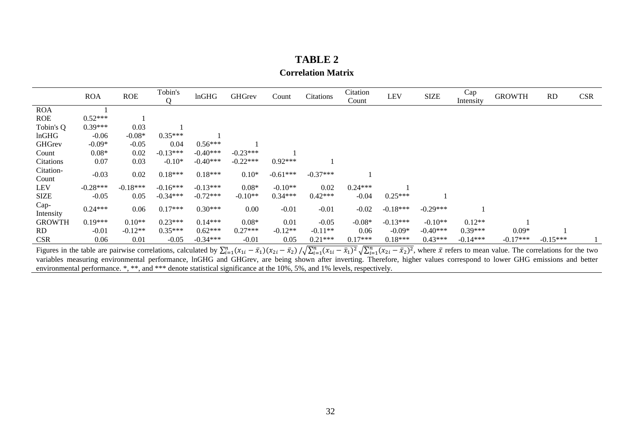# **TABLE 2 Correlation Matrix**

|                    | <b>ROA</b> | <b>ROE</b> | Tobin's<br>0 | lnGHG      | <b>GHGrev</b> | Count      | Citations  | Citation<br>Count | LEV        | <b>SIZE</b> | Cap<br>Intensity | <b>GROWTH</b> | <b>RD</b>  | <b>CSR</b> |
|--------------------|------------|------------|--------------|------------|---------------|------------|------------|-------------------|------------|-------------|------------------|---------------|------------|------------|
| <b>ROA</b>         |            |            |              |            |               |            |            |                   |            |             |                  |               |            |            |
| <b>ROE</b>         | $0.52***$  |            |              |            |               |            |            |                   |            |             |                  |               |            |            |
| Tobin's Q          | $0.39***$  | 0.03       |              |            |               |            |            |                   |            |             |                  |               |            |            |
| lnGHG              | $-0.06$    | $-0.08*$   | $0.35***$    |            |               |            |            |                   |            |             |                  |               |            |            |
| <b>GHGrev</b>      | $-0.09*$   | $-0.05$    | 0.04         | $0.56***$  |               |            |            |                   |            |             |                  |               |            |            |
| Count              | $0.08*$    | 0.02       | $-0.13***$   | $-0.40***$ | $-0.23***$    |            |            |                   |            |             |                  |               |            |            |
| Citations          | 0.07       | 0.03       | $-0.10*$     | $-0.40***$ | $-0.22***$    | $0.92***$  |            |                   |            |             |                  |               |            |            |
| Citation-<br>Count | $-0.03$    | 0.02       | $0.18***$    | $0.18***$  | $0.10*$       | $-0.61***$ | $-0.37***$ |                   |            |             |                  |               |            |            |
| <b>LEV</b>         | $-0.28***$ | $-0.18***$ | $-0.16***$   | $-0.13***$ | $0.08*$       | $-0.10**$  | 0.02       | $0.24***$         |            |             |                  |               |            |            |
| <b>SIZE</b>        | $-0.05$    | 0.05       | $-0.34***$   | $-0.72***$ | $-0.10**$     | $0.34***$  | $0.42***$  | $-0.04$           | $0.25***$  |             |                  |               |            |            |
| Cap-<br>Intensity  | $0.24***$  | 0.06       | $0.17***$    | $0.30***$  | 0.00          | $-0.01$    | $-0.01$    | $-0.02$           | $-0.18***$ | $-0.29***$  |                  |               |            |            |
| <b>GROWTH</b>      | $0.19***$  | $0.10**$   | $0.23***$    | $0.14***$  | $0.08*$       | 0.01       | $-0.05$    | $-0.08*$          | $-0.13***$ | $-0.10**$   | $0.12**$         |               |            |            |
| <b>RD</b>          | $-0.01$    | $-0.12**$  | $0.35***$    | $0.62***$  | $0.27***$     | $-0.12**$  | $-0.11**$  | 0.06              | $-0.09*$   | $-0.40***$  | $0.39***$        | $0.09*$       |            |            |
| <b>CSR</b>         | 0.06       | 0.01       | $-0.05$      | $-0.34***$ | $-0.01$       | 0.05       | $0.21***$  | $0.17***$         | $0.18***$  | $0.43***$   | $-0.14***$       | $-0.17***$    | $-0.15***$ |            |

<span id="page-32-0"></span>Figures in the table are pairwise correlations, calculated by  $\sum_{i=1}^{n} (x_{1i} - \bar{x}_1)(x_{2i} - \bar{x}_2) / \sqrt{\sum_{i=1}^{n} (x_{1i} - \bar{x}_1)^2} \sqrt{\sum_{i=1}^{n} (x_{2i} - \bar{x}_2)^2}$ , where  $\bar{x}$  refers to mean value. The correlations for the two variables measuring environmental performance, lnGHG and GHGrev, are being shown after inverting. Therefore, higher values correspond to lower GHG emissions and better environmental performance. \*, \*\*, and \*\*\* denote statistical significance at the 10%, 5%, and 1% levels, respectively.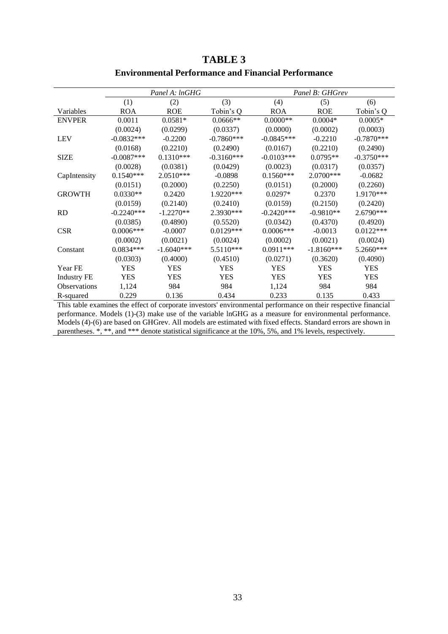<span id="page-33-0"></span>

|                     |              | Panel A: lnGHG |              |              | Panel B: GHGrev |              |
|---------------------|--------------|----------------|--------------|--------------|-----------------|--------------|
|                     | (1)          | (2)            | (3)          | (4)          | (5)             | (6)          |
| Variables           | <b>ROA</b>   | <b>ROE</b>     | Tobin's Q    | <b>ROA</b>   | <b>ROE</b>      | Tobin's Q    |
| <b>ENVPER</b>       | 0.0011       | $0.0581*$      | $0.0666**$   | $0.0000**$   | $0.0004*$       | $0.0005*$    |
|                     | (0.0024)     | (0.0299)       | (0.0337)     | (0.0000)     | (0.0002)        | (0.0003)     |
| <b>LEV</b>          | $-0.0832***$ | $-0.2200$      | $-0.7860***$ | $-0.0845***$ | $-0.2210$       | $-0.7870***$ |
|                     | (0.0168)     | (0.2210)       | (0.2490)     | (0.0167)     | (0.2210)        | (0.2490)     |
| <b>SIZE</b>         | $-0.0087***$ | $0.1310***$    | $-0.3160***$ | $-0.0103***$ | $0.0795**$      | $-0.3750***$ |
|                     | (0.0028)     | (0.0381)       | (0.0429)     | (0.0023)     | (0.0317)        | (0.0357)     |
| CapIntensity        | $0.1540***$  | 2.0510***      | $-0.0898$    | $0.1560***$  | 2.0700***       | $-0.0682$    |
|                     | (0.0151)     | (0.2000)       | (0.2250)     | (0.0151)     | (0.2000)        | (0.2260)     |
| <b>GROWTH</b>       | $0.0330**$   | 0.2420         | 1.9220***    | $0.0297*$    | 0.2370          | 1.9170***    |
|                     | (0.0159)     | (0.2140)       | (0.2410)     | (0.0159)     | (0.2150)        | (0.2420)     |
| <b>RD</b>           | $-0.2240***$ | $-1.2270**$    | 2.3930***    | $-0.2420***$ | $-0.9810**$     | 2.6790***    |
|                     | (0.0385)     | (0.4890)       | (0.5520)     | (0.0342)     | (0.4370)        | (0.4920)     |
| <b>CSR</b>          | $0.0006***$  | $-0.0007$      | $0.0129***$  | $0.0006***$  | $-0.0013$       | $0.0122***$  |
|                     | (0.0002)     | (0.0021)       | (0.0024)     | (0.0002)     | (0.0021)        | (0.0024)     |
| Constant            | $0.0834***$  | $-1.6040***$   | 5.5110***    | $0.0911***$  | $-1.8160***$    | 5.2660***    |
|                     | (0.0303)     | (0.4000)       | (0.4510)     | (0.0271)     | (0.3620)        | (0.4090)     |
| Year FE             | <b>YES</b>   | <b>YES</b>     | <b>YES</b>   | <b>YES</b>   | <b>YES</b>      | <b>YES</b>   |
| <b>Industry FE</b>  | <b>YES</b>   | YES            | <b>YES</b>   | <b>YES</b>   | <b>YES</b>      | <b>YES</b>   |
| <b>Observations</b> | 1,124        | 984            | 984          | 1,124        | 984             | 984          |
| R-squared           | 0.229        | 0.136          | 0.434        | 0.233        | 0.135           | 0.433        |

# **TABLE 3 Environmental Performance and Financial Performance**

This table examines the effect of corporate investors' environmental performance on their respective financial performance. Models (1)-(3) make use of the variable lnGHG as a measure for environmental performance. Models (4)-(6) are based on GHGrev. All models are estimated with fixed effects. Standard errors are shown in parentheses. \*, \*\*, and \*\*\* denote statistical significance at the 10%, 5%, and 1% levels, respectively.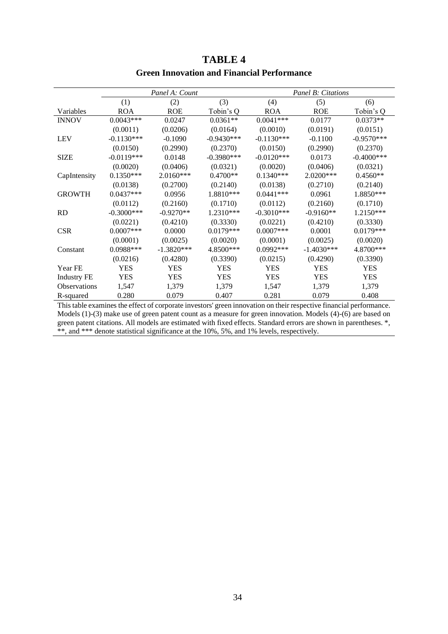<span id="page-34-0"></span>

|                    |               | Panel A: Count |              |              | Panel B: Citations |               |
|--------------------|---------------|----------------|--------------|--------------|--------------------|---------------|
|                    | (1)           | (2)            | (3)          | (4)          | (5)                | (6)           |
| Variables          | <b>ROA</b>    | <b>ROE</b>     | Tobin's Q    | <b>ROA</b>   | <b>ROE</b>         | Tobin's Q     |
| <b>INNOV</b>       | $0.0043***$   | 0.0247         | $0.0361**$   | $0.0041***$  | 0.0177             | $0.0373**$    |
|                    | (0.0011)      | (0.0206)       | (0.0164)     | (0.0010)     | (0.0191)           | (0.0151)      |
| <b>LEV</b>         | $-0.1130***$  | $-0.1090$      | $-0.9430***$ | $-0.1130***$ | $-0.1100$          | $-0.9570***$  |
|                    | (0.0150)      | (0.2990)       | (0.2370)     | (0.0150)     | (0.2990)           | (0.2370)      |
| <b>SIZE</b>        | $-0.0119***$  | 0.0148         | $-0.3980***$ | $-0.0120***$ | 0.0173             | $-0.4000$ *** |
|                    | (0.0020)      | (0.0406)       | (0.0321)     | (0.0020)     | (0.0406)           | (0.0321)      |
| CapIntensity       | $0.1350***$   | $2.0160***$    | $0.4700**$   | $0.1340***$  | 2.0200***          | $0.4560**$    |
|                    | (0.0138)      | (0.2700)       | (0.2140)     | (0.0138)     | (0.2710)           | (0.2140)      |
| <b>GROWTH</b>      | $0.0437***$   | 0.0956         | 1.8810***    | $0.0441***$  | 0.0961             | 1.8850***     |
|                    | (0.0112)      | (0.2160)       | (0.1710)     | (0.0112)     | (0.2160)           | (0.1710)      |
| <b>RD</b>          | $-0.3000$ *** | $-0.9270**$    | 1.2310***    | $-0.3010***$ | $-0.9160**$        | 1.2150***     |
|                    | (0.0221)      | (0.4210)       | (0.3330)     | (0.0221)     | (0.4210)           | (0.3330)      |
| <b>CSR</b>         | $0.0007$ ***  | 0.0000         | $0.0179***$  | $0.0007$ *** | 0.0001             | $0.0179***$   |
|                    | (0.0001)      | (0.0025)       | (0.0020)     | (0.0001)     | (0.0025)           | (0.0020)      |
| Constant           | $0.0988***$   | $-1.3820***$   | 4.8500***    | $0.0992***$  | $-1.4030***$       | 4.8700***     |
|                    | (0.0216)      | (0.4280)       | (0.3390)     | (0.0215)     | (0.4290)           | (0.3390)      |
| Year FE            | <b>YES</b>    | <b>YES</b>     | <b>YES</b>   | YES          | YES                | YES           |
| <b>Industry FE</b> | <b>YES</b>    | <b>YES</b>     | <b>YES</b>   | <b>YES</b>   | <b>YES</b>         | <b>YES</b>    |
| Observations       | 1,547         | 1,379          | 1,379        | 1,547        | 1,379              | 1,379         |
| R-squared          | 0.280         | 0.079          | 0.407        | 0.281        | 0.079              | 0.408         |

# **TABLE 4 Green Innovation and Financial Performance**

This table examines the effect of corporate investors' green innovation on their respective financial performance. Models (1)-(3) make use of green patent count as a measure for green innovation. Models (4)-(6) are based on green patent citations. All models are estimated with fixed effects. Standard errors are shown in parentheses. \*, \*\*, and \*\*\* denote statistical significance at the 10%, 5%, and 1% levels, respectively.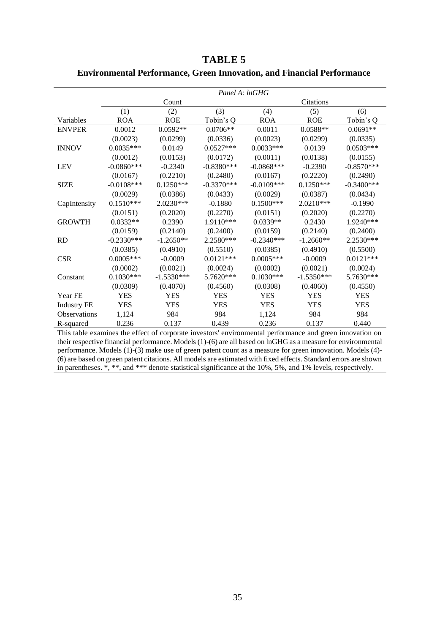|                    | Panel A: lnGHG |              |              |              |              |              |  |  |  |  |  |
|--------------------|----------------|--------------|--------------|--------------|--------------|--------------|--|--|--|--|--|
|                    |                | Count        |              |              | Citations    |              |  |  |  |  |  |
|                    | (1)            | (2)          | (3)          | (4)          | (5)          | (6)          |  |  |  |  |  |
| Variables          | <b>ROA</b>     | <b>ROE</b>   | Tobin's Q    | <b>ROA</b>   | <b>ROE</b>   | Tobin's Q    |  |  |  |  |  |
| <b>ENVPER</b>      | 0.0012         | $0.0592**$   | $0.0706**$   | 0.0011       | $0.0588**$   | $0.0691**$   |  |  |  |  |  |
|                    | (0.0023)       | (0.0299)     | (0.0336)     | (0.0023)     | (0.0299)     | (0.0335)     |  |  |  |  |  |
| <b>INNOV</b>       | $0.0035***$    | 0.0149       | $0.0527***$  | $0.0033***$  | 0.0139       | $0.0503***$  |  |  |  |  |  |
|                    | (0.0012)       | (0.0153)     | (0.0172)     | (0.0011)     | (0.0138)     | (0.0155)     |  |  |  |  |  |
| <b>LEV</b>         | $-0.0860***$   | $-0.2340$    | $-0.8380***$ | $-0.0868***$ | $-0.2390$    | $-0.8570***$ |  |  |  |  |  |
|                    | (0.0167)       | (0.2210)     | (0.2480)     | (0.0167)     | (0.2220)     | (0.2490)     |  |  |  |  |  |
| <b>SIZE</b>        | $-0.0108***$   | $0.1250***$  | $-0.3370***$ | $-0.0109***$ | $0.1250***$  | $-0.3400***$ |  |  |  |  |  |
|                    | (0.0029)       | (0.0386)     | (0.0433)     | (0.0029)     | (0.0387)     | (0.0434)     |  |  |  |  |  |
| CapIntensity       | $0.1510***$    | $2.0230***$  | $-0.1880$    | $0.1500***$  | $2.0210***$  | $-0.1990$    |  |  |  |  |  |
|                    | (0.0151)       | (0.2020)     | (0.2270)     | (0.0151)     | (0.2020)     | (0.2270)     |  |  |  |  |  |
| <b>GROWTH</b>      | $0.0332**$     | 0.2390       | 1.9110***    | $0.0339**$   | 0.2430       | 1.9240***    |  |  |  |  |  |
|                    | (0.0159)       | (0.2140)     | (0.2400)     | (0.0159)     | (0.2140)     | (0.2400)     |  |  |  |  |  |
| <b>RD</b>          | $-0.2330***$   | $-1.2650**$  | 2.2580***    | $-0.2340***$ | $-1.2660**$  | 2.2530***    |  |  |  |  |  |
|                    | (0.0385)       | (0.4910)     | (0.5510)     | (0.0385)     | (0.4910)     | (0.5500)     |  |  |  |  |  |
| <b>CSR</b>         | $0.0005***$    | $-0.0009$    | $0.0121***$  | $0.0005***$  | $-0.0009$    | $0.0121***$  |  |  |  |  |  |
|                    | (0.0002)       | (0.0021)     | (0.0024)     | (0.0002)     | (0.0021)     | (0.0024)     |  |  |  |  |  |
| Constant           | $0.1030***$    | $-1.5330***$ | 5.7620***    | $0.1030***$  | $-1.5350***$ | 5.7630***    |  |  |  |  |  |
|                    | (0.0309)       | (0.4070)     | (0.4560)     | (0.0308)     | (0.4060)     | (0.4550)     |  |  |  |  |  |
| Year FE            | <b>YES</b>     | <b>YES</b>   | <b>YES</b>   | <b>YES</b>   | <b>YES</b>   | <b>YES</b>   |  |  |  |  |  |
| <b>Industry FE</b> | <b>YES</b>     | <b>YES</b>   | <b>YES</b>   | <b>YES</b>   | <b>YES</b>   | <b>YES</b>   |  |  |  |  |  |
| Observations       | 1,124          | 984          | 984          | 1,124        | 984          | 984          |  |  |  |  |  |
| R-squared          | 0.236          | 0.137        | 0.439        | 0.236        | 0.137        | 0.440        |  |  |  |  |  |

<span id="page-35-0"></span>**TABLE 5 Environmental Performance, Green Innovation, and Financial Performance**

This table examines the effect of corporate investors' environmental performance and green innovation on their respective financial performance. Models (1)-(6) are all based on lnGHG as a measure for environmental performance. Models (1)-(3) make use of green patent count as a measure for green innovation. Models (4)- (6) are based on green patent citations. All models are estimated with fixed effects. Standard errors are shown in parentheses. \*, \*\*, and \*\*\* denote statistical significance at the 10%, 5%, and 1% levels, respectively.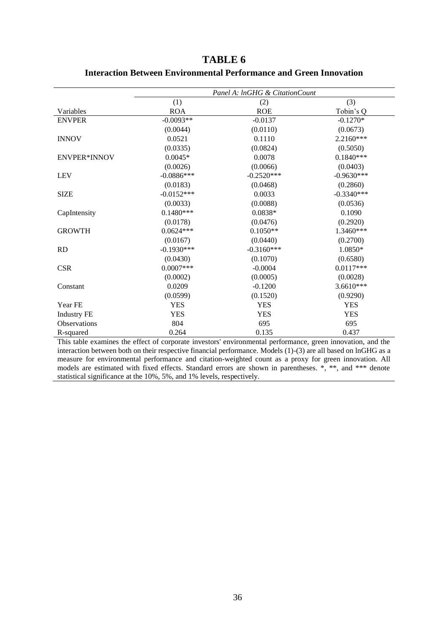|                     | Panel A: InGHG & CitationCount |              |              |  |  |  |  |  |  |  |
|---------------------|--------------------------------|--------------|--------------|--|--|--|--|--|--|--|
|                     | (1)                            | (2)          | (3)          |  |  |  |  |  |  |  |
| Variables           | <b>ROA</b>                     | <b>ROE</b>   | Tobin's Q    |  |  |  |  |  |  |  |
| <b>ENVPER</b>       | $-0.0093**$                    | $-0.0137$    | $-0.1270*$   |  |  |  |  |  |  |  |
|                     | (0.0044)                       | (0.0110)     | (0.0673)     |  |  |  |  |  |  |  |
| <b>INNOV</b>        | 0.0521                         | 0.1110       | $2.2160***$  |  |  |  |  |  |  |  |
|                     | (0.0335)                       | (0.0824)     | (0.5050)     |  |  |  |  |  |  |  |
| <b>ENVPER*INNOV</b> | $0.0045*$                      | 0.0078       | $0.1840***$  |  |  |  |  |  |  |  |
|                     | (0.0026)                       | (0.0066)     | (0.0403)     |  |  |  |  |  |  |  |
| <b>LEV</b>          | $-0.0886***$                   | $-0.2520***$ | $-0.9630***$ |  |  |  |  |  |  |  |
|                     | (0.0183)                       | (0.0468)     | (0.2860)     |  |  |  |  |  |  |  |
| <b>SIZE</b>         | $-0.0152***$                   | 0.0033       | $-0.3340***$ |  |  |  |  |  |  |  |
|                     | (0.0033)                       | (0.0088)     | (0.0536)     |  |  |  |  |  |  |  |
| CapIntensity        | $0.1480***$                    | $0.0838*$    | 0.1090       |  |  |  |  |  |  |  |
|                     | (0.0178)                       | (0.0476)     | (0.2920)     |  |  |  |  |  |  |  |
| <b>GROWTH</b>       | $0.0624***$                    | $0.1050**$   | 1.3460***    |  |  |  |  |  |  |  |
|                     | (0.0167)                       | (0.0440)     | (0.2700)     |  |  |  |  |  |  |  |
| <b>RD</b>           | $-0.1930***$                   | $-0.3160***$ | 1.0850*      |  |  |  |  |  |  |  |
|                     | (0.0430)                       | (0.1070)     | (0.6580)     |  |  |  |  |  |  |  |
| <b>CSR</b>          | $0.0007***$                    | $-0.0004$    | $0.0117***$  |  |  |  |  |  |  |  |
|                     | (0.0002)                       | (0.0005)     | (0.0028)     |  |  |  |  |  |  |  |
| Constant            | 0.0209                         | $-0.1200$    | 3.6610***    |  |  |  |  |  |  |  |
|                     | (0.0599)                       | (0.1520)     | (0.9290)     |  |  |  |  |  |  |  |
| Year FE             | <b>YES</b>                     | <b>YES</b>   | <b>YES</b>   |  |  |  |  |  |  |  |
| <b>Industry FE</b>  | <b>YES</b>                     | <b>YES</b>   | <b>YES</b>   |  |  |  |  |  |  |  |
| Observations        | 804                            | 695          | 695          |  |  |  |  |  |  |  |
| R-squared           | 0.264                          | 0.135        | 0.437        |  |  |  |  |  |  |  |

# <span id="page-36-0"></span>**TABLE 6 Interaction Between Environmental Performance and Green Innovation**

This table examines the effect of corporate investors' environmental performance, green innovation, and the interaction between both on their respective financial performance. Models (1)-(3) are all based on lnGHG as a measure for environmental performance and citation-weighted count as a proxy for green innovation. All models are estimated with fixed effects. Standard errors are shown in parentheses. \*, \*\*, and \*\*\* denote statistical significance at the 10%, 5%, and 1% levels, respectively.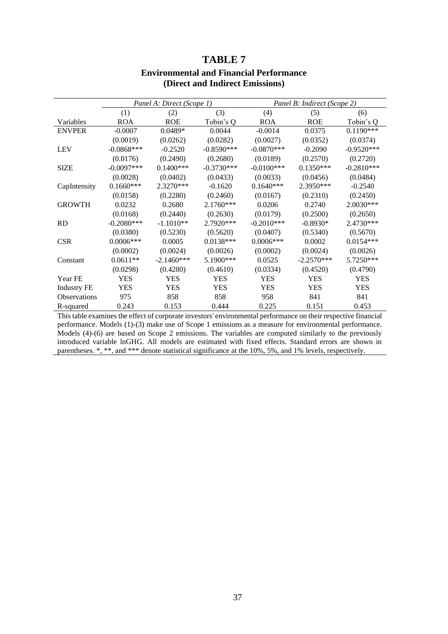<span id="page-37-0"></span>

|                    |              | Panel A: Direct (Scope 1) |              |              | Panel B: Indirect (Scope 2) |              |
|--------------------|--------------|---------------------------|--------------|--------------|-----------------------------|--------------|
|                    | (1)          | (2)                       | (3)          | (4)          | (5)                         | (6)          |
| Variables          | <b>ROA</b>   | <b>ROE</b>                | Tobin's Q    | <b>ROA</b>   | <b>ROE</b>                  | Tobin's Q    |
| <b>ENVPER</b>      | $-0.0007$    | $0.0489*$                 | 0.0044       | $-0.0014$    | 0.0375                      | $0.1190***$  |
|                    | (0.0019)     | (0.0262)                  | (0.0282)     | (0.0027)     | (0.0352)                    | (0.0374)     |
| <b>LEV</b>         | $-0.0868***$ | $-0.2520$                 | $-0.8590***$ | $-0.0870***$ | $-0.2090$                   | $-0.9520***$ |
|                    | (0.0176)     | (0.2490)                  | (0.2680)     | (0.0189)     | (0.2570)                    | (0.2720)     |
| <b>SIZE</b>        | $-0.0097***$ | $0.1400***$               | $-0.3730***$ | $-0.0100***$ | $0.1350***$                 | $-0.2810***$ |
|                    | (0.0028)     | (0.0402)                  | (0.0433)     | (0.0033)     | (0.0456)                    | (0.0484)     |
| CapIntensity       | $0.1660***$  | $2.3270***$               | $-0.1620$    | $0.1640***$  | 2.3950***                   | $-0.2540$    |
|                    | (0.0158)     | (0.2280)                  | (0.2460)     | (0.0167)     | (0.2310)                    | (0.2450)     |
| <b>GROWTH</b>      | 0.0232       | 0.2680                    | $2.1760***$  | 0.0206       | 0.2740                      | 2.0030***    |
|                    | (0.0168)     | (0.2440)                  | (0.2630)     | (0.0179)     | (0.2500)                    | (0.2650)     |
| <b>RD</b>          | $-0.2080***$ | $-1.1010**$               | 2.7920***    | $-0.2010***$ | $-0.8930*$                  | 2.4730***    |
|                    | (0.0380)     | (0.5230)                  | (0.5620)     | (0.0407)     | (0.5340)                    | (0.5670)     |
| <b>CSR</b>         | $0.0006***$  | 0.0005                    | $0.0138***$  | $0.0006***$  | 0.0002                      | $0.0154***$  |
|                    | (0.0002)     | (0.0024)                  | (0.0026)     | (0.0002)     | (0.0024)                    | (0.0026)     |
| Constant           | $0.0611**$   | $-2.1460***$              | 5.1900***    | 0.0525       | $-2.2570***$                | 5.7250***    |
|                    | (0.0298)     | (0.4280)                  | (0.4610)     | (0.0334)     | (0.4520)                    | (0.4790)     |
| Year FE            | YES          | YES                       | YES          | <b>YES</b>   | <b>YES</b>                  | YES          |
| <b>Industry FE</b> | <b>YES</b>   | YES                       | <b>YES</b>   | <b>YES</b>   | <b>YES</b>                  | <b>YES</b>   |
| Observations       | 975          | 858                       | 858          | 958          | 841                         | 841          |
| R-squared          | 0.243        | 0.153                     | 0.444        | 0.225        | 0.151                       | 0.453        |

# **TABLE 7 Environmental and Financial Performance (Direct and Indirect Emissions)**

This table examines the effect of corporate investors' environmental performance on their respective financial performance. Models (1)-(3) make use of Scope 1 emissions as a measure for environmental performance. Models (4)-(6) are based on Scope 2 emissions. The variables are computed similarly to the previously introduced variable lnGHG. All models are estimated with fixed effects. Standard errors are shown in parentheses. \*, \*\*, and \*\*\* denote statistical significance at the 10%, 5%, and 1% levels, respectively.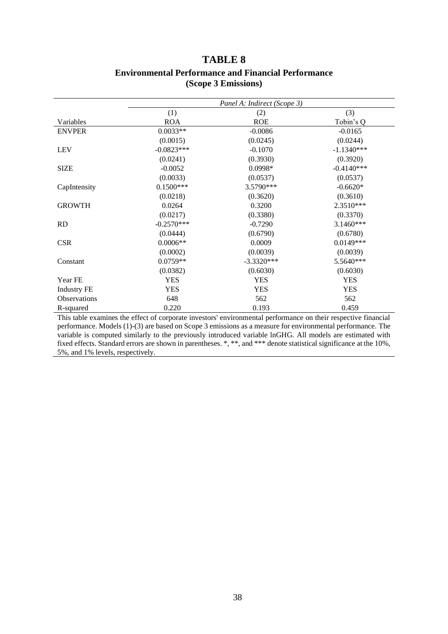### **TABLE 8 Environmental Performance and Financial Performance (Scope 3 Emissions)**

<span id="page-38-0"></span>

|                     |              | Panel A: Indirect (Scope 3) |              |
|---------------------|--------------|-----------------------------|--------------|
|                     | (1)          | (2)                         | (3)          |
| Variables           | <b>ROA</b>   | <b>ROE</b>                  | Tobin's Q    |
| <b>ENVPER</b>       | $0.0033**$   | $-0.0086$                   | $-0.0165$    |
|                     | (0.0015)     | (0.0245)                    | (0.0244)     |
| <b>LEV</b>          | $-0.0823***$ | $-0.1070$                   | $-1.1340***$ |
|                     | (0.0241)     | (0.3930)                    | (0.3920)     |
| <b>SIZE</b>         | $-0.0052$    | $0.0998*$                   | $-0.4140***$ |
|                     | (0.0033)     | (0.0537)                    | (0.0537)     |
| CapIntensity        | $0.1500***$  | 3.5790***                   | $-0.6620*$   |
|                     | (0.0218)     | (0.3620)                    | (0.3610)     |
| <b>GROWTH</b>       | 0.0264       | 0.3200                      | 2.3510***    |
|                     | (0.0217)     | (0.3380)                    | (0.3370)     |
| R <sub>D</sub>      | $-0.2570***$ | $-0.7290$                   | $3.1460***$  |
|                     | (0.0444)     | (0.6790)                    | (0.6780)     |
| <b>CSR</b>          | $0.0006**$   | 0.0009                      | $0.0149***$  |
|                     | (0.0002)     | (0.0039)                    | (0.0039)     |
| Constant            | $0.0759**$   | $-3.3320***$                | 5.5640***    |
|                     | (0.0382)     | (0.6030)                    | (0.6030)     |
| Year FE             | <b>YES</b>   | <b>YES</b>                  | <b>YES</b>   |
| <b>Industry FE</b>  | <b>YES</b>   | <b>YES</b>                  | <b>YES</b>   |
| <b>Observations</b> | 648          | 562                         | 562          |
| R-squared           | 0.220        | 0.193                       | 0.459        |

This table examines the effect of corporate investors' environmental performance on their respective financial performance. Models (1)-(3) are based on Scope 3 emissions as a measure for environmental performance. The variable is computed similarly to the previously introduced variable lnGHG. All models are estimated with fixed effects. Standard errors are shown in parentheses. \*, \*\*, and \*\*\* denote statistical significance at the 10%, 5%, and 1% levels, respectively.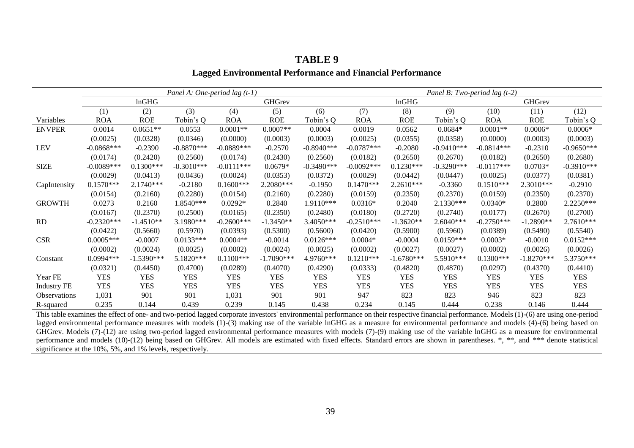|                     |              | Panel A: One-period lag $(t-1)$ |              |              |              |               |              |              | Panel B: Two-period lag $(t-2)$ |              |               |              |  |
|---------------------|--------------|---------------------------------|--------------|--------------|--------------|---------------|--------------|--------------|---------------------------------|--------------|---------------|--------------|--|
|                     |              | lnGHG                           |              |              | GHGrev       |               |              | lnGHG        |                                 |              | <b>GHGrev</b> |              |  |
|                     | (1)          | (2)                             | (3)          | (4)          | (5)          | (6)           | (7)          | (8)          | (9)                             | (10)         | (11)          | (12)         |  |
| Variables           | <b>ROA</b>   | <b>ROE</b>                      | Tobin's Q    | <b>ROA</b>   | <b>ROE</b>   | Tobin's Q     | <b>ROA</b>   | <b>ROE</b>   | Tobin's Q                       | ROA          | <b>ROE</b>    | Tobin's Q    |  |
| <b>ENVPER</b>       | 0.0014       | $0.0651**$                      | 0.0553       | $0.0001**$   | $0.0007**$   | 0.0004        | 0.0019       | 0.0562       | $0.0684*$                       | $0.0001**$   | $0.0006*$     | $0.0006*$    |  |
|                     | (0.0025)     | (0.0328)                        | (0.0346)     | (0.0000)     | (0.0003)     | (0.0003)      | (0.0025)     | (0.0355)     | (0.0358)                        | (0.0000)     | (0.0003)      | (0.0003)     |  |
| <b>LEV</b>          | $-0.0868***$ | $-0.2390$                       | $-0.8870***$ | $-0.0889***$ | $-0.2570$    | $-0.8940***$  | $-0.0787***$ | $-0.2080$    | $-0.9410***$                    | $-0.0814***$ | $-0.2310$     | $-0.9650***$ |  |
|                     | (0.0174)     | (0.2420)                        | (0.2560)     | (0.0174)     | (0.2430)     | (0.2560)      | (0.0182)     | (0.2650)     | (0.2670)                        | (0.0182)     | (0.2650)      | (0.2680)     |  |
| <b>SIZE</b>         | $-0.0089***$ | $0.1300***$                     | $-0.3010***$ | $-0.0111***$ | $0.0679*$    | $-0.3490$ *** | $-0.0092***$ | $0.1230***$  | $-0.3290***$                    | $-0.0117***$ | $0.0703*$     | $-0.3910***$ |  |
|                     | (0.0029)     | (0.0413)                        | (0.0436)     | (0.0024)     | (0.0353)     | (0.0372)      | (0.0029)     | (0.0442)     | (0.0447)                        | (0.0025)     | (0.0377)      | (0.0381)     |  |
| CapIntensity        | $0.1570***$  | $2.1740***$                     | $-0.2180$    | $0.1600***$  | $2.2080***$  | $-0.1950$     | $0.1470***$  | $2.2610***$  | $-0.3360$                       | $0.1510***$  | $2.3010***$   | $-0.2910$    |  |
|                     | (0.0154)     | (0.2160)                        | (0.2280)     | (0.0154)     | (0.2160)     | (0.2280)      | (0.0159)     | (0.2350)     | (0.2370)                        | (0.0159)     | (0.2350)      | (0.2370)     |  |
| <b>GROWTH</b>       | 0.0273       | 0.2160                          | 1.8540***    | $0.0292*$    | 0.2840       | $1.9110***$   | $0.0316*$    | 0.2040       | $2.1330***$                     | $0.0340*$    | 0.2800        | 2.2250***    |  |
|                     | (0.0167)     | (0.2370)                        | (0.2500)     | (0.0165)     | (0.2350)     | (0.2480)      | (0.0180)     | (0.2720)     | (0.2740)                        | (0.0177)     | (0.2670)      | (0.2700)     |  |
| RD                  | $-0.2320***$ | $-1.4510**$                     | 3.1980***    | $-0.2600***$ | $-1.3450**$  | 3.4050***     | $-0.2510***$ | $-1.3620**$  | 2.6040***                       | $-0.2750***$ | $-1.2890**$   | 2.7610***    |  |
|                     | (0.0422)     | (0.5660)                        | (0.5970)     | (0.0393)     | (0.5300)     | (0.5600)      | (0.0420)     | (0.5900)     | (0.5960)                        | (0.0389)     | (0.5490)      | (0.5540)     |  |
| <b>CSR</b>          | $0.0005***$  | $-0.0007$                       | $0.0133***$  | $0.0004**$   | $-0.0014$    | $0.0126***$   | $0.0004*$    | $-0.0004$    | $0.0159***$                     | $0.0003*$    | $-0.0010$     | $0.0152***$  |  |
|                     | (0.0002)     | (0.0024)                        | (0.0025)     | (0.0002)     | (0.0024)     | (0.0025)      | (0.0002)     | (0.0027)     | (0.0027)                        | (0.0002)     | (0.0026)      | (0.0026)     |  |
| Constant            | $0.0994***$  | $-1.5390***$                    | 5.1820***    | $0.1100***$  | $-1.7090***$ | 4.9760***     | $0.1210***$  | $-1.6780***$ | 5.5910***                       | $0.1300***$  | $-1.8270***$  | 5.3750***    |  |
|                     | (0.0321)     | (0.4450)                        | (0.4700)     | (0.0289)     | (0.4070)     | (0.4290)      | (0.0333)     | (0.4820)     | (0.4870)                        | (0.0297)     | (0.4370)      | (0.4410)     |  |
| Year FE             | <b>YES</b>   | <b>YES</b>                      | <b>YES</b>   | <b>YES</b>   | <b>YES</b>   | <b>YES</b>    | <b>YES</b>   | <b>YES</b>   | <b>YES</b>                      | <b>YES</b>   | <b>YES</b>    | <b>YES</b>   |  |
| <b>Industry FE</b>  | <b>YES</b>   | <b>YES</b>                      | <b>YES</b>   | <b>YES</b>   | <b>YES</b>   | <b>YES</b>    | YES          | <b>YES</b>   | <b>YES</b>                      | <b>YES</b>   | <b>YES</b>    | <b>YES</b>   |  |
| <b>Observations</b> | 1,031        | 901                             | 901          | 1,031        | 901          | 901           | 947          | 823          | 823                             | 946          | 823           | 823          |  |
| R-squared           | 0.235        | 0.144                           | 0.439        | 0.239        | 0.145        | 0.438         | 0.234        | 0.145        | 0.444                           | 0.238        | 0.146         | 0.444        |  |

# **TABLE 9**

### **Lagged Environmental Performance and Financial Performance**

<span id="page-39-0"></span>This table examines the effect of one- and two-period lagged corporate investors' environmental performance on their respective financial performance. Models (1)-(6) are using one-period lagged environmental performance measures with models (1)-(3) making use of the variable lnGHG as a measure for environmental performance and models (4)-(6) being based on GHGrev. Models (7)-(12) are using two-period lagged environmental performance measures with models (7)-(9) making use of the variable lnGHG as a measure for environmental performance and models (10)-(12) being based on GHGrev. All models are estimated with fixed effects. Standard errors are shown in parentheses. \*, \*\*, and \*\*\* denote statistical significance at the 10%, 5%, and 1% levels, respectively.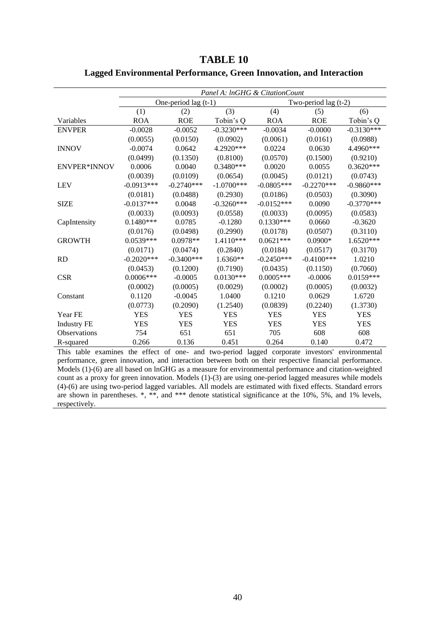|                     | Panel A: InGHG & CitationCount |                        |              |              |                        |              |  |  |  |  |  |
|---------------------|--------------------------------|------------------------|--------------|--------------|------------------------|--------------|--|--|--|--|--|
|                     |                                | One-period lag $(t-1)$ |              |              | Two-period lag $(t-2)$ |              |  |  |  |  |  |
|                     | (1)                            | (2)                    | (3)          | (4)          | (5)                    | (6)          |  |  |  |  |  |
| Variables           | <b>ROA</b>                     | <b>ROE</b>             | Tobin's Q    | <b>ROA</b>   | <b>ROE</b>             | Tobin's Q    |  |  |  |  |  |
| <b>ENVPER</b>       | $-0.0028$                      | $-0.0052$              | $-0.3230***$ | $-0.0034$    | $-0.0000$              | $-0.3130***$ |  |  |  |  |  |
|                     | (0.0055)                       | (0.0150)               | (0.0902)     | (0.0061)     | (0.0161)               | (0.0988)     |  |  |  |  |  |
| <b>INNOV</b>        | $-0.0074$                      | 0.0642                 | 4.2920***    | 0.0224       | 0.0630                 | 4.4960***    |  |  |  |  |  |
|                     | (0.0499)                       | (0.1350)               | (0.8100)     | (0.0570)     | (0.1500)               | (0.9210)     |  |  |  |  |  |
| <b>ENVPER*INNOV</b> | 0.0006                         | 0.0040                 | $0.3480***$  | 0.0020       | 0.0055                 | $0.3620***$  |  |  |  |  |  |
|                     | (0.0039)                       | (0.0109)               | (0.0654)     | (0.0045)     | (0.0121)               | (0.0743)     |  |  |  |  |  |
| <b>LEV</b>          | $-0.0913***$                   | $-0.2740***$           | $-1.0700***$ | $-0.0805***$ | $-0.2270***$           | $-0.9860***$ |  |  |  |  |  |
|                     | (0.0181)                       | (0.0488)               | (0.2930)     | (0.0186)     | (0.0503)               | (0.3090)     |  |  |  |  |  |
| <b>SIZE</b>         | $-0.0137***$                   | 0.0048                 | $-0.3260***$ | $-0.0152***$ | 0.0090                 | $-0.3770***$ |  |  |  |  |  |
|                     | (0.0033)                       | (0.0093)               | (0.0558)     | (0.0033)     | (0.0095)               | (0.0583)     |  |  |  |  |  |
| CapIntensity        | $0.1480***$                    | 0.0785                 | $-0.1280$    | $0.1330***$  | 0.0660                 | $-0.3620$    |  |  |  |  |  |
|                     | (0.0176)                       | (0.0498)               | (0.2990)     | (0.0178)     | (0.0507)               | (0.3110)     |  |  |  |  |  |
| <b>GROWTH</b>       | $0.0539***$                    | $0.0978**$             | 1.4110***    | $0.0621***$  | $0.0900*$              | 1.6520***    |  |  |  |  |  |
|                     | (0.0171)                       | (0.0474)               | (0.2840)     | (0.0184)     | (0.0517)               | (0.3170)     |  |  |  |  |  |
| <b>RD</b>           | $-0.2020***$                   | $-0.3400***$           | 1.6360**     | $-0.2450***$ | $-0.4100***$           | 1.0210       |  |  |  |  |  |
|                     | (0.0453)                       | (0.1200)               | (0.7190)     | (0.0435)     | (0.1150)               | (0.7060)     |  |  |  |  |  |
| <b>CSR</b>          | $0.0006***$                    | $-0.0005$              | $0.0130***$  | $0.0005***$  | $-0.0006$              | $0.0159***$  |  |  |  |  |  |
|                     | (0.0002)                       | (0.0005)               | (0.0029)     | (0.0002)     | (0.0005)               | (0.0032)     |  |  |  |  |  |
| Constant            | 0.1120                         | $-0.0045$              | 1.0400       | 0.1210       | 0.0629                 | 1.6720       |  |  |  |  |  |
|                     | (0.0773)                       | (0.2090)               | (1.2540)     | (0.0839)     | (0.2240)               | (1.3730)     |  |  |  |  |  |
| Year FE             | <b>YES</b>                     | <b>YES</b>             | <b>YES</b>   | <b>YES</b>   | <b>YES</b>             | <b>YES</b>   |  |  |  |  |  |
| <b>Industry FE</b>  | <b>YES</b>                     | <b>YES</b>             | <b>YES</b>   | <b>YES</b>   | <b>YES</b>             | <b>YES</b>   |  |  |  |  |  |
| Observations        | 754                            | 651                    | 651          | 705          | 608                    | 608          |  |  |  |  |  |
| R-squared           | 0.266                          | 0.136                  | 0.451        | 0.264        | 0.140                  | 0.472        |  |  |  |  |  |

<span id="page-40-0"></span>**TABLE 10 Lagged Environmental Performance, Green Innovation, and Interaction**

This table examines the effect of one- and two-period lagged corporate investors' environmental performance, green innovation, and interaction between both on their respective financial performance. Models (1)-(6) are all based on lnGHG as a measure for environmental performance and citation-weighted count as a proxy for green innovation. Models (1)-(3) are using one-period lagged measures while models (4)-(6) are using two-period lagged variables. All models are estimated with fixed effects. Standard errors are shown in parentheses. \*, \*\*, and \*\*\* denote statistical significance at the 10%, 5%, and 1% levels, respectively.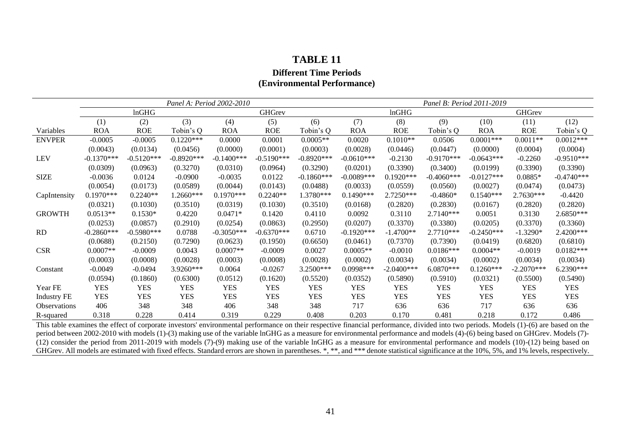# **TABLE 11 Different Time Periods (Environmental Performance)**

|                     |              |              |              | Panel A: Period 2002-2010 |              |              | Panel B: Period 2011-2019 |              |               |              |               |              |
|---------------------|--------------|--------------|--------------|---------------------------|--------------|--------------|---------------------------|--------------|---------------|--------------|---------------|--------------|
|                     |              | lnGHG        |              |                           | GHGrev       |              |                           | lnGHG        |               |              | <b>GHGrev</b> |              |
|                     | (1)          | (2)          | (3)          | (4)                       | (5)          | (6)          | (7)                       | (8)          | (9)           | (10)         | (11)          | (12)         |
| Variables           | <b>ROA</b>   | <b>ROE</b>   | Tobin's Q    | <b>ROA</b>                | <b>ROE</b>   | Tobin's Q    | <b>ROA</b>                | <b>ROE</b>   | Tobin's Q     | <b>ROA</b>   | <b>ROE</b>    | Tobin's Q    |
| <b>ENVPER</b>       | $-0.0005$    | $-0.0005$    | $0.1220***$  | 0.0000                    | 0.0001       | $0.0005**$   | 0.0020                    | $0.1010**$   | 0.0506        | $0.0001***$  | $0.0011**$    | $0.0012***$  |
|                     | (0.0043)     | (0.0134)     | (0.0456)     | (0.0000)                  | (0.0001)     | (0.0003)     | (0.0028)                  | (0.0446)     | (0.0447)      | (0.0000)     | (0.0004)      | (0.0004)     |
| <b>LEV</b>          | $-0.1370***$ | $-0.5120***$ | $-0.8920***$ | $-0.1400$ ***             | $-0.5190***$ | $-0.8920***$ | $-0.0610***$              | $-0.2130$    | $-0.9170***$  | $-0.0643***$ | $-0.2260$     | $-0.9510***$ |
|                     | (0.0309)     | (0.0963)     | (0.3270)     | (0.0310)                  | (0.0964)     | (0.3290)     | (0.0201)                  | (0.3390)     | (0.3400)      | (0.0199)     | (0.3390)      | (0.3390)     |
| <b>SIZE</b>         | $-0.0036$    | 0.0124       | $-0.0900$    | $-0.0035$                 | 0.0122       | $-0.1860***$ | $-0.0089***$              | $0.1920***$  | $-0.4060$ *** | $-0.0127***$ | $0.0885*$     | $-0.4740***$ |
|                     | (0.0054)     | (0.0173)     | (0.0589)     | (0.0044)                  | (0.0143)     | (0.0488)     | (0.0033)                  | (0.0559)     | (0.0560)      | (0.0027)     | (0.0474)      | (0.0473)     |
| CapIntensity        | $0.1970***$  | $0.2240**$   | 1.2660***    | $0.1970***$               | $0.2240**$   | 1.3780***    | $0.1490***$               | 2.7250***    | $-0.4860*$    | $0.1540***$  | $2.7630***$   | $-0.4420$    |
|                     | (0.0321)     | (0.1030)     | (0.3510)     | (0.0319)                  | (0.1030)     | (0.3510)     | (0.0168)                  | (0.2820)     | (0.2830)      | (0.0167)     | (0.2820)      | (0.2820)     |
| <b>GROWTH</b>       | $0.0513**$   | $0.1530*$    | 0.4220       | $0.0471*$                 | 0.1420       | 0.4110       | 0.0092                    | 0.3110       | 2.7140***     | 0.0051       | 0.3130        | 2.6850***    |
|                     | (0.0253)     | (0.0857)     | (0.2910)     | (0.0254)                  | (0.0863)     | (0.2950)     | (0.0207)                  | (0.3370)     | (0.3380)      | (0.0205)     | (0.3370)      | (0.3360)     |
| RD                  | $-0.2860***$ | $-0.5980***$ | 0.0788       | $-0.3050***$              | $-0.6370***$ | 0.6710       | $-0.1920***$              | $-1.4700**$  | $2.7710***$   | $-0.2450***$ | $-1.3290*$    | 2.4200***    |
|                     | (0.0688)     | (0.2150)     | (0.7290)     | (0.0623)                  | (0.1950)     | (0.6650)     | (0.0461)                  | (0.7370)     | (0.7390)      | (0.0419)     | (0.6820)      | (0.6810)     |
| <b>CSR</b>          | $0.0007**$   | $-0.0009$    | 0.0043       | $0.0007**$                | $-0.0009$    | 0.0027       | $0.0005**$                | $-0.0010$    | $0.0186***$   | $0.0004**$   | $-0.0019$     | $0.0182***$  |
|                     | (0.0003)     | (0.0008)     | (0.0028)     | (0.0003)                  | (0.0008)     | (0.0028)     | (0.0002)                  | (0.0034)     | (0.0034)      | (0.0002)     | (0.0034)      | (0.0034)     |
| Constant            | $-0.0049$    | $-0.0494$    | 3.9260***    | 0.0064                    | $-0.0267$    | 3.2500***    | $0.0998***$               | $-2.0400***$ | 6.0870***     | $0.1260***$  | $-2.2070***$  | 6.2390***    |
|                     | (0.0594)     | (0.1860)     | (0.6300)     | (0.0512)                  | (0.1620)     | (0.5520)     | (0.0352)                  | (0.5890)     | (0.5910)      | (0.0321)     | (0.5500)      | (0.5490)     |
| Year FE             | <b>YES</b>   | <b>YES</b>   | <b>YES</b>   | <b>YES</b>                | <b>YES</b>   | <b>YES</b>   | <b>YES</b>                | <b>YES</b>   | <b>YES</b>    | <b>YES</b>   | <b>YES</b>    | <b>YES</b>   |
| <b>Industry FE</b>  | <b>YES</b>   | <b>YES</b>   | <b>YES</b>   | <b>YES</b>                | <b>YES</b>   | <b>YES</b>   | <b>YES</b>                | <b>YES</b>   | <b>YES</b>    | <b>YES</b>   | <b>YES</b>    | <b>YES</b>   |
| <b>Observations</b> | 406          | 348          | 348          | 406                       | 348          | 348          | 717                       | 636          | 636           | 717          | 636           | 636          |
| R-squared           | 0.318        | 0.228        | 0.414        | 0.319                     | 0.229        | 0.408        | 0.203                     | 0.170        | 0.481         | 0.218        | 0.172         | 0.486        |

<span id="page-41-0"></span>This table examines the effect of corporate investors' environmental performance on their respective financial performance, divided into two periods. Models (1)-(6) are based on the period between 2002-2010 with models (1)-(3) making use of the variable lnGHG as a measure for environmental performance and models (4)-(6) being based on GHGrev. Models (7)-(12) consider the period from 2011-2019 with models (7)-(9) making use of the variable lnGHG as a measure for environmental performance and models (10)-(12) being based on GHGrev. All models are estimated with fixed effects. Standard errors are shown in parentheses. \*, \*\*, and \*\*\* denote statistical significance at the 10%, 5%, and 1% levels, respectively.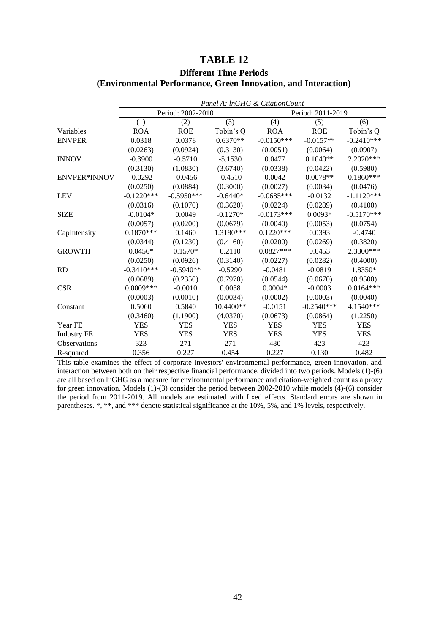### **TABLE 12**

<span id="page-42-0"></span>

|                     | Panel A: InGHG & CitationCount |                   |            |              |                   |              |  |  |  |  |  |
|---------------------|--------------------------------|-------------------|------------|--------------|-------------------|--------------|--|--|--|--|--|
|                     |                                | Period: 2002-2010 |            |              | Period: 2011-2019 |              |  |  |  |  |  |
|                     | (1)                            | (2)               | (3)        | (4)          | (5)               | (6)          |  |  |  |  |  |
| Variables           | <b>ROA</b>                     | <b>ROE</b>        | Tobin's Q  | <b>ROA</b>   | <b>ROE</b>        | Tobin's Q    |  |  |  |  |  |
| <b>ENVPER</b>       | 0.0318                         | 0.0378            | $0.6370**$ | $-0.0150***$ | $-0.0157**$       | $-0.2410***$ |  |  |  |  |  |
|                     | (0.0263)                       | (0.0924)          | (0.3130)   | (0.0051)     | (0.0064)          | (0.0907)     |  |  |  |  |  |
| <b>INNOV</b>        | $-0.3900$                      | $-0.5710$         | $-5.1530$  | 0.0477       | $0.1040**$        | 2.2020 ***   |  |  |  |  |  |
|                     | (0.3130)                       | (1.0830)          | (3.6740)   | (0.0338)     | (0.0422)          | (0.5980)     |  |  |  |  |  |
| <b>ENVPER*INNOV</b> | $-0.0292$                      | $-0.0456$         | $-0.4510$  | 0.0042       | $0.0078**$        | $0.1860***$  |  |  |  |  |  |
|                     | (0.0250)                       | (0.0884)          | (0.3000)   | (0.0027)     | (0.0034)          | (0.0476)     |  |  |  |  |  |
| <b>LEV</b>          | $-0.1220***$                   | $-0.5950***$      | $-0.6440*$ | $-0.0685***$ | $-0.0132$         | $-1.1120***$ |  |  |  |  |  |
|                     | (0.0316)                       | (0.1070)          | (0.3620)   | (0.0224)     | (0.0289)          | (0.4100)     |  |  |  |  |  |
| <b>SIZE</b>         | $-0.0104*$                     | 0.0049            | $-0.1270*$ | $-0.0173***$ | $0.0093*$         | $-0.5170***$ |  |  |  |  |  |
|                     | (0.0057)                       | (0.0200)          | (0.0679)   | (0.0040)     | (0.0053)          | (0.0754)     |  |  |  |  |  |
| CapIntensity        | $0.1870***$                    | 0.1460            | 1.3180***  | $0.1220***$  | 0.0393            | $-0.4740$    |  |  |  |  |  |
|                     | (0.0344)                       | (0.1230)          | (0.4160)   | (0.0200)     | (0.0269)          | (0.3820)     |  |  |  |  |  |
| <b>GROWTH</b>       | $0.0456*$                      | $0.1570*$         | 0.2110     | $0.0827***$  | 0.0453            | 2.3300***    |  |  |  |  |  |
|                     | (0.0250)                       | (0.0926)          | (0.3140)   | (0.0227)     | (0.0282)          | (0.4000)     |  |  |  |  |  |
| <b>RD</b>           | $-0.3410***$                   | $-0.5940**$       | $-0.5290$  | $-0.0481$    | $-0.0819$         | 1.8350*      |  |  |  |  |  |
|                     | (0.0689)                       | (0.2350)          | (0.7970)   | (0.0544)     | (0.0670)          | (0.9500)     |  |  |  |  |  |
| <b>CSR</b>          | $0.0009***$                    | $-0.0010$         | 0.0038     | $0.0004*$    | $-0.0003$         | $0.0164***$  |  |  |  |  |  |
|                     | (0.0003)                       | (0.0010)          | (0.0034)   | (0.0002)     | (0.0003)          | (0.0040)     |  |  |  |  |  |
| Constant            | 0.5060                         | 0.5840            | 10.4400**  | $-0.0151$    | $-0.2540***$      | 4.1540***    |  |  |  |  |  |
|                     | (0.3460)                       | (1.1900)          | (4.0370)   | (0.0673)     | (0.0864)          | (1.2250)     |  |  |  |  |  |
| Year FE             | <b>YES</b>                     | <b>YES</b>        | <b>YES</b> | <b>YES</b>   | <b>YES</b>        | <b>YES</b>   |  |  |  |  |  |
| <b>Industry FE</b>  | <b>YES</b>                     | <b>YES</b>        | <b>YES</b> | <b>YES</b>   | <b>YES</b>        | <b>YES</b>   |  |  |  |  |  |
| Observations        | 323                            | 271               | 271        | 480          | 423               | 423          |  |  |  |  |  |
| R-squared           | 0.356                          | 0.227             | 0.454      | 0.227        | 0.130             | 0.482        |  |  |  |  |  |

### **Different Time Periods (Environmental Performance, Green Innovation, and Interaction)**

This table examines the effect of corporate investors' environmental performance, green innovation, and interaction between both on their respective financial performance, divided into two periods. Models (1)-(6) are all based on lnGHG as a measure for environmental performance and citation-weighted count as a proxy for green innovation. Models (1)-(3) consider the period between 2002-2010 while models (4)-(6) consider the period from 2011-2019. All models are estimated with fixed effects. Standard errors are shown in parentheses. \*, \*\*, and \*\*\* denote statistical significance at the 10%, 5%, and 1% levels, respectively.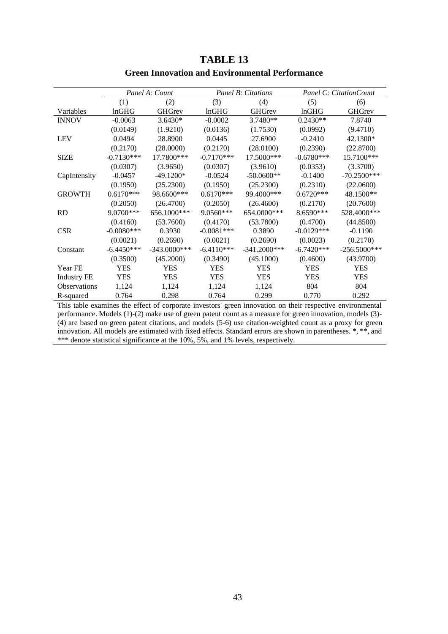<span id="page-43-0"></span>

|                    |              | Panel A: Count  |              | <b>Panel B: Citations</b> | Panel C: Citation Count |                |  |
|--------------------|--------------|-----------------|--------------|---------------------------|-------------------------|----------------|--|
|                    | (1)          | (2)             | (3)          | (4)                       | (5)                     | (6)            |  |
| Variables          | lnGHG        | <b>GHGrev</b>   | lnGHG        | <b>GHGrev</b>             | lnGHG                   | <b>GHGrev</b>  |  |
| <b>INNOV</b>       | $-0.0063$    | $3.6430*$       | $-0.0002$    | 3.7480**                  | $0.2430**$              | 7.8740         |  |
|                    | (0.0149)     | (1.9210)        | (0.0136)     | (1.7530)                  | (0.0992)                | (9.4710)       |  |
| <b>LEV</b>         | 0.0494       | 28.8900         | 0.0445       | 27.6900                   | $-0.2410$               | 42.1300*       |  |
|                    | (0.2170)     | (28.0000)       | (0.2170)     | (28.0100)                 | (0.2390)                | (22.8700)      |  |
| <b>SIZE</b>        | $-0.7130***$ | 17.7800***      | $-0.7170***$ | 17.5000***                | $-0.6780***$            | 15.7100***     |  |
|                    | (0.0307)     | (3.9650)        | (0.0307)     | (3.9610)                  | (0.0353)                | (3.3700)       |  |
| CapIntensity       | $-0.0457$    | $-49.1200*$     | $-0.0524$    | $-50.0600**$              | $-0.1400$               | $-70.2500***$  |  |
|                    | (0.1950)     | (25.2300)       | (0.1950)     | (25.2300)                 | (0.2310)                | (22.0600)      |  |
| <b>GROWTH</b>      | $0.6170***$  | 98.6600***      | $0.6170***$  | 99.4000***                | $0.6720***$             | 48.1500**      |  |
|                    | (0.2050)     | (26.4700)       | (0.2050)     | (26.4600)                 | (0.2170)                | (20.7600)      |  |
| <b>RD</b>          | 9.0700***    | 656.1000***     | 9.0560***    | 654.0000***               | 8.6590***               | 528.4000***    |  |
|                    | (0.4160)     | (53.7600)       | (0.4170)     | (53.7800)                 | (0.4700)                | (44.8500)      |  |
| <b>CSR</b>         | $-0.0080***$ | 0.3930          | $-0.0081***$ | 0.3890                    | $-0.0129***$            | $-0.1190$      |  |
|                    | (0.0021)     | (0.2690)        | (0.0021)     | (0.2690)                  | (0.0023)                | (0.2170)       |  |
| Constant           | $-6.4450***$ | $-343.0000$ *** | $-6.4110***$ | $-341.2000***$            | $-6.7420***$            | $-256.5000***$ |  |
|                    | (0.3500)     | (45.2000)       | (0.3490)     | (45.1000)                 | (0.4600)                | (43.9700)      |  |
| Year FE            | <b>YES</b>   | YES             | <b>YES</b>   | YES                       | <b>YES</b>              | <b>YES</b>     |  |
| <b>Industry FE</b> | <b>YES</b>   | YES             | <b>YES</b>   | <b>YES</b>                | <b>YES</b>              | <b>YES</b>     |  |
| Observations       | 1,124        | 1,124           | 1,124        | 1,124                     | 804                     | 804            |  |
| R-squared          | 0.764        | 0.298           | 0.764        | 0.299                     | 0.770                   | 0.292          |  |

# **TABLE 13 Green Innovation and Environmental Performance**

This table examines the effect of corporate investors' green innovation on their respective environmental performance. Models (1)-(2) make use of green patent count as a measure for green innovation, models (3)- (4) are based on green patent citations, and models (5-6) use citation-weighted count as a proxy for green innovation. All models are estimated with fixed effects. Standard errors are shown in parentheses. \*, \*\*, and \*\*\* denote statistical significance at the 10%, 5%, and 1% levels, respectively.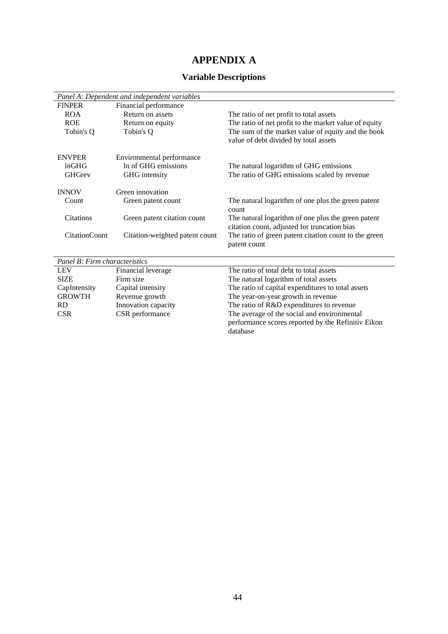# **APPENDIX A**

### **Variable Descriptions**

|                               | Panel A: Dependent and independent variables |                                                                                                    |
|-------------------------------|----------------------------------------------|----------------------------------------------------------------------------------------------------|
| <b>FINPER</b>                 | Financial performance                        |                                                                                                    |
| <b>ROA</b>                    | Return on assets                             | The ratio of net profit to total assets                                                            |
| <b>ROE</b>                    | Return on equity                             | The ratio of net profit to the market value of equity                                              |
| Tobin's Q                     | Tobin's Q                                    | The sum of the market value of equity and the book<br>value of debt divided by total assets        |
| <b>ENVPER</b>                 | Environmental performance                    |                                                                                                    |
| lnGHG                         | In of GHG emissions                          | The natural logarithm of GHG emissions                                                             |
| <b>GHGrev</b>                 | GHG intensity                                | The ratio of GHG emissions scaled by revenue                                                       |
| <b>INNOV</b>                  | Green innovation                             |                                                                                                    |
| Count                         | Green patent count                           | The natural logarithm of one plus the green patent<br>count                                        |
| <b>Citations</b>              | Green patent citation count                  | The natural logarithm of one plus the green patent<br>citation count, adjusted for truncation bias |
| <b>CitationCount</b>          | Citation-weighted patent count               | The ratio of green patent citation count to the green<br>patent count                              |
| Panel B: Firm characteristics |                                              |                                                                                                    |
| <b>LEV</b>                    | Financial leverage                           | The ratio of total debt to total assets                                                            |
| $\alpha$ trues                | $\mathbf{r}$                                 |                                                                                                    |

| LL V          | Thiancial Ieverage  | THE TAILO OF WILL DEDITIONAL ASSEIS                |
|---------------|---------------------|----------------------------------------------------|
| <b>SIZE</b>   | Firm size           | The natural logarithm of total assets              |
| CapIntensity  | Capital intensity   | The ratio of capital expenditures to total assets  |
| <b>GROWTH</b> | Revenue growth      | The year-on-year growth in revenue                 |
| RD.           | Innovation capacity | The ratio of R&D expenditures to revenue           |
| <b>CSR</b>    | CSR performance     | The average of the social and environmental        |
|               |                     | performance scores reported by the Refinitiv Eikon |
|               |                     | database                                           |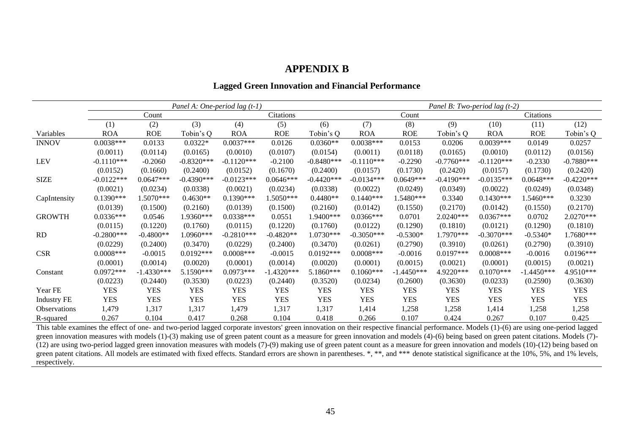### **APPENDIX B**

### **Lagged Green Innovation and Financial Performance**

|                    | Panel A: One-period lag $(t-1)$ |              |              |              |              |              |              | Panel B: Two-period lag $(t-2)$ |              |               |              |              |  |
|--------------------|---------------------------------|--------------|--------------|--------------|--------------|--------------|--------------|---------------------------------|--------------|---------------|--------------|--------------|--|
|                    |                                 | Count        |              |              | Citations    |              | Count        |                                 |              | Citations     |              |              |  |
|                    | (1)                             | (2)          | (3)          | (4)          | (5)          | (6)          | (7)          | (8)                             | (9)          | (10)          | (11)         | (12)         |  |
| Variables          | <b>ROA</b>                      | <b>ROE</b>   | Tobin's Q    | <b>ROA</b>   | <b>ROE</b>   | Tobin's Q    | <b>ROA</b>   | <b>ROE</b>                      | Tobin's Q    | <b>ROA</b>    | <b>ROE</b>   | Tobin's Q    |  |
| <b>INNOV</b>       | $0.0038***$                     | 0.0133       | $0.0322*$    | $0.0037***$  | 0.0126       | $0.0360**$   | $0.0038***$  | 0.0153                          | 0.0206       | $0.0039***$   | 0.0149       | 0.0257       |  |
|                    | (0.0011)                        | (0.0114)     | (0.0165)     | (0.0010)     | (0.0107)     | (0.0154)     | (0.0011)     | (0.0118)                        | (0.0165)     | (0.0010)      | (0.0112)     | (0.0156)     |  |
| <b>LEV</b>         | $-0.1110***$                    | $-0.2060$    | $-0.8320***$ | $-0.1120***$ | $-0.2100$    | $-0.8480***$ | $-0.1110***$ | $-0.2290$                       | $-0.7760***$ | $-0.1120***$  | $-0.2330$    | $-0.7880***$ |  |
|                    | (0.0152)                        | (0.1660)     | (0.2400)     | (0.0152)     | (0.1670)     | (0.2400)     | (0.0157)     | (0.1730)                        | (0.2420)     | (0.0157)      | (0.1730)     | (0.2420)     |  |
| <b>SIZE</b>        | $-0.0122***$                    | $0.0647***$  | $-0.4390***$ | $-0.0123***$ | $0.0646***$  | $-0.4420***$ | $-0.0134***$ | $0.0649***$                     | $-0.4190***$ | $-0.0135***$  | $0.0648***$  | $-0.4220***$ |  |
|                    | (0.0021)                        | (0.0234)     | (0.0338)     | (0.0021)     | (0.0234)     | (0.0338)     | (0.0022)     | (0.0249)                        | (0.0349)     | (0.0022)      | (0.0249)     | (0.0348)     |  |
| CapIntensity       | $0.1390***$                     | 1.5070***    | $0.4630**$   | $0.1390***$  | 1.5050***    | $0.4480**$   | $0.1440***$  | 1.5480***                       | 0.3340       | $0.1430***$   | 1.5460***    | 0.3230       |  |
|                    | (0.0139)                        | (0.1500)     | (0.2160)     | (0.0139)     | (0.1500)     | (0.2160)     | (0.0142)     | (0.1550)                        | (0.2170)     | (0.0142)      | (0.1550)     | (0.2170)     |  |
| <b>GROWTH</b>      | $0.0336***$                     | 0.0546       | 1.9360***    | $0.0338***$  | 0.0551       | 1.9400***    | $0.0366$ *** | 0.0701                          | 2.0240***    | $0.0367***$   | 0.0702       | 2.0270***    |  |
|                    | (0.0115)                        | (0.1220)     | (0.1760)     | (0.0115)     | (0.1220)     | (0.1760)     | (0.0122)     | (0.1290)                        | (0.1810)     | (0.0121)      | (0.1290)     | (0.1810)     |  |
| <b>RD</b>          | $-0.2800***$                    | $-0.4800**$  | 1.0960***    | $-0.2810***$ | $-0.4820**$  | $1.0730***$  | $-0.3050***$ | $-0.5300*$                      | 1.7970***    | $-0.3070$ *** | $-0.5340*$   | 1.7680***    |  |
|                    | (0.0229)                        | (0.2400)     | (0.3470)     | (0.0229)     | (0.2400)     | (0.3470)     | (0.0261)     | (0.2790)                        | (0.3910)     | (0.0261)      | (0.2790)     | (0.3910)     |  |
| <b>CSR</b>         | $0.0008$ ***                    | $-0.0015$    | $0.0192***$  | $0.0008$ *** | $-0.0015$    | $0.0192***$  | $0.0008$ *** | $-0.0016$                       | $0.0197***$  | $0.0008***$   | $-0.0016$    | $0.0196***$  |  |
|                    | (0.0001)                        | (0.0014)     | (0.0020)     | (0.0001)     | (0.0014)     | (0.0020)     | (0.0001)     | (0.0015)                        | (0.0021)     | (0.0001)      | (0.0015)     | (0.0021)     |  |
| Constant           | $0.0972***$                     | $-1.4330***$ | 5.1590***    | $0.0973***$  | $-1.4320***$ | 5.1860***    | $0.1060***$  | $-1.4450***$                    | 4.9220***    | $0.1070***$   | $-1.4450***$ | 4.9510***    |  |
|                    | (0.0223)                        | (0.2440)     | (0.3530)     | (0.0223)     | (0.2440)     | (0.3520)     | (0.0234)     | (0.2600)                        | (0.3630)     | (0.0233)      | (0.2590)     | (0.3630)     |  |
| Year FE            | <b>YES</b>                      | <b>YES</b>   | <b>YES</b>   | <b>YES</b>   | <b>YES</b>   | <b>YES</b>   | <b>YES</b>   | <b>YES</b>                      | <b>YES</b>   | <b>YES</b>    | <b>YES</b>   | <b>YES</b>   |  |
| <b>Industry FE</b> | <b>YES</b>                      | <b>YES</b>   | <b>YES</b>   | <b>YES</b>   | <b>YES</b>   | <b>YES</b>   | <b>YES</b>   | <b>YES</b>                      | <b>YES</b>   | <b>YES</b>    | <b>YES</b>   | <b>YES</b>   |  |
| Observations       | 1,479                           | 1,317        | 1,317        | 1,479        | 1,317        | 1,317        | 1,414        | 1,258                           | 1,258        | 1,414         | 1,258        | 1,258        |  |
| R-squared          | 0.267                           | 0.104        | 0.417        | 0.268        | 0.104        | 0.418        | 0.266        | 0.107                           | 0.424        | 0.267         | 0.107        | 0.425        |  |

<span id="page-45-0"></span>This table examines the effect of one- and two-period lagged corporate investors' green innovation on their respective financial performance. Models (1)-(6) are using one-period lagged green innovation measures with models (1)-(3) making use of green patent count as a measure for green innovation and models (4)-(6) being based on green patent citations. Models (7)-(12) are using two-period lagged green innovation measures with models (7)-(9) making use of green patent count as a measure for green innovation and models (10)-(12) being based on green patent citations. All models are estimated with fixed effects. Standard errors are shown in parentheses. \*, \*\*, and \*\*\* denote statistical significance at the 10%, 5%, and 1% levels, respectively.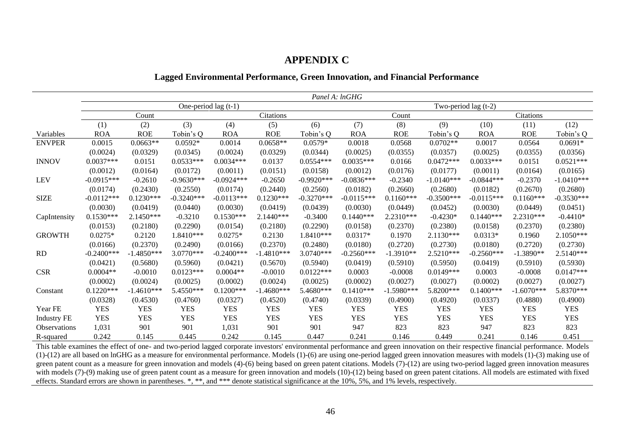### **APPENDIX C**

### **Lagged Environmental Performance, Green Innovation, and Financial Performance**

|                     | Panel A: lnGHG       |              |              |              |              |              |              |                        |              |              |              |              |  |  |
|---------------------|----------------------|--------------|--------------|--------------|--------------|--------------|--------------|------------------------|--------------|--------------|--------------|--------------|--|--|
|                     | One-period lag (t-1) |              |              |              |              |              |              | Two-period lag $(t-2)$ |              |              |              |              |  |  |
|                     |                      | Count        |              | Citations    |              |              | Count        |                        |              | Citations    |              |              |  |  |
|                     | (1)                  | (2)          | (3)          | (4)          | (5)          | (6)          | (7)          | (8)                    | (9)          | (10)         | (11)         | (12)         |  |  |
| Variables           | <b>ROA</b>           | <b>ROE</b>   | Tobin's Q    | <b>ROA</b>   | <b>ROE</b>   | Tobin's Q    | <b>ROA</b>   | <b>ROE</b>             | Tobin's Q    | <b>ROA</b>   | <b>ROE</b>   | Tobin's Q    |  |  |
| <b>ENVPER</b>       | 0.0015               | $0.0663**$   | $0.0592*$    | 0.0014       | $0.0658**$   | $0.0579*$    | 0.0018       | 0.0568                 | $0.0702**$   | 0.0017       | 0.0564       | $0.0691*$    |  |  |
|                     | (0.0024)             | (0.0329)     | (0.0345)     | (0.0024)     | (0.0329)     | (0.0344)     | (0.0025)     | (0.0355)               | (0.0357)     | (0.0025)     | (0.0355)     | (0.0356)     |  |  |
| <b>INNOV</b>        | $0.0037***$          | 0.0151       | $0.0533***$  | $0.0034***$  | 0.0137       | $0.0554***$  | $0.0035***$  | 0.0166                 | $0.0472***$  | $0.0033***$  | 0.0151       | $0.0521***$  |  |  |
|                     | (0.0012)             | (0.0164)     | (0.0172)     | (0.0011)     | (0.0151)     | (0.0158)     | (0.0012)     | (0.0176)               | (0.0177)     | (0.0011)     | (0.0164)     | (0.0165)     |  |  |
| LEV                 | $-0.0915***$         | $-0.2610$    | $-0.9630***$ | $-0.0924***$ | $-0.2650$    | $-0.9920***$ | $-0.0836***$ | $-0.2340$              | $-1.0140***$ | $-0.0844***$ | $-0.2370$    | $-1.0410***$ |  |  |
|                     | (0.0174)             | (0.2430)     | (0.2550)     | (0.0174)     | (0.2440)     | (0.2560)     | (0.0182)     | (0.2660)               | (0.2680)     | (0.0182)     | (0.2670)     | (0.2680)     |  |  |
| <b>SIZE</b>         | $-0.0112***$         | $0.1230***$  | $-0.3240***$ | $-0.0113***$ | $0.1230***$  | $-0.3270***$ | $-0.0115***$ | $0.1160***$            | $-0.3500***$ | $-0.0115***$ | $0.1160***$  | $-0.3530***$ |  |  |
|                     | (0.0030)             | (0.0419)     | (0.0440)     | (0.0030)     | (0.0419)     | (0.0439)     | (0.0030)     | (0.0449)               | (0.0452)     | (0.0030)     | (0.0449)     | (0.0451)     |  |  |
| CapIntensity        | $0.1530***$          | 2.1450***    | $-0.3210$    | $0.1530***$  | 2.1440***    | $-0.3400$    | $0.1440***$  | 2.2310***              | $-0.4230*$   | $0.1440***$  | 2.2310***    | $-0.4410*$   |  |  |
|                     | (0.0153)             | (0.2180)     | (0.2290)     | (0.0154)     | (0.2180)     | (0.2290)     | (0.0158)     | (0.2370)               | (0.2380)     | (0.0158)     | (0.2370)     | (0.2380)     |  |  |
| <b>GROWTH</b>       | $0.0275*$            | 0.2120       | $1.8410***$  | $0.0275*$    | 0.2130       | $1.8410***$  | $0.0317*$    | 0.1970                 | $2.1130***$  | $0.0313*$    | 0.1960       | 2.1050***    |  |  |
|                     | (0.0166)             | (0.2370)     | (0.2490)     | (0.0166)     | (0.2370)     | (0.2480)     | (0.0180)     | (0.2720)               | (0.2730)     | (0.0180)     | (0.2720)     | (0.2730)     |  |  |
| RD                  | $-0.2400***$         | $-1.4850***$ | $3.0770***$  | $-0.2400***$ | $-1.4810***$ | $3.0740***$  | $-0.2560***$ | $-1.3910**$            | $2.5210***$  | $-0.2560***$ | $-1.3890**$  | 2.5140***    |  |  |
|                     | (0.0421)             | (0.5680)     | (0.5960)     | (0.0421)     | (0.5670)     | (0.5940)     | (0.0419)     | (0.5910)               | (0.5950)     | (0.0419)     | (0.5910)     | (0.5930)     |  |  |
| <b>CSR</b>          | $0.0004**$           | $-0.0010$    | $0.0123***$  | $0.0004**$   | $-0.0010$    | $0.0122***$  | 0.0003       | $-0.0008$              | $0.0149***$  | 0.0003       | $-0.0008$    | $0.0147***$  |  |  |
|                     | (0.0002)             | (0.0024)     | (0.0025)     | (0.0002)     | (0.0024)     | (0.0025)     | (0.0002)     | (0.0027)               | (0.0027)     | (0.0002)     | (0.0027)     | (0.0027)     |  |  |
| Constant            | $0.1220***$          | $-1.4610***$ | 5.4550***    | $0.1200***$  | $-1.4680***$ | 5.4680***    | $0.1410***$  | $-1.5980***$           | 5.8200***    | $0.1400***$  | $-1.6070***$ | 5.8370***    |  |  |
|                     | (0.0328)             | (0.4530)     | (0.4760)     | (0.0327)     | (0.4520)     | (0.4740)     | (0.0339)     | (0.4900)               | (0.4920)     | (0.0337)     | (0.4880)     | (0.4900)     |  |  |
| Year FE             | <b>YES</b>           | <b>YES</b>   | <b>YES</b>   | <b>YES</b>   | <b>YES</b>   | <b>YES</b>   | <b>YES</b>   | <b>YES</b>             | <b>YES</b>   | <b>YES</b>   | <b>YES</b>   | <b>YES</b>   |  |  |
| <b>Industry FE</b>  | <b>YES</b>           | <b>YES</b>   | <b>YES</b>   | <b>YES</b>   | <b>YES</b>   | <b>YES</b>   | <b>YES</b>   | <b>YES</b>             | <b>YES</b>   | <b>YES</b>   | <b>YES</b>   | <b>YES</b>   |  |  |
| <b>Observations</b> | 1,031                | 901          | 901          | 1,031        | 901          | 901          | 947          | 823                    | 823          | 947          | 823          | 823          |  |  |
| R-squared           | 0.242                | 0.145        | 0.445        | 0.242        | 0.145        | 0.447        | 0.241        | 0.146                  | 0.449        | 0.241        | 0.146        | 0.451        |  |  |

<span id="page-46-0"></span>This table examines the effect of one- and two-period lagged corporate investors' environmental performance and green innovation on their respective financial performance. Models (1)-(12) are all based on lnGHG as a measure for environmental performance. Models (1)-(6) are using one-period lagged green innovation measures with models (1)-(3) making use of green patent count as a measure for green innovation and models (4)-(6) being based on green patent citations. Models (7)-(12) are using two-period lagged green innovation measures with models (7)-(9) making use of green patent count as a measure for green innovation and models (10)-(12) being based on green patent citations. All models are estimated with fixed effects. Standard errors are shown in parentheses. \*, \*\*, and \*\*\* denote statistical significance at the 10%, 5%, and 1% levels, respectively.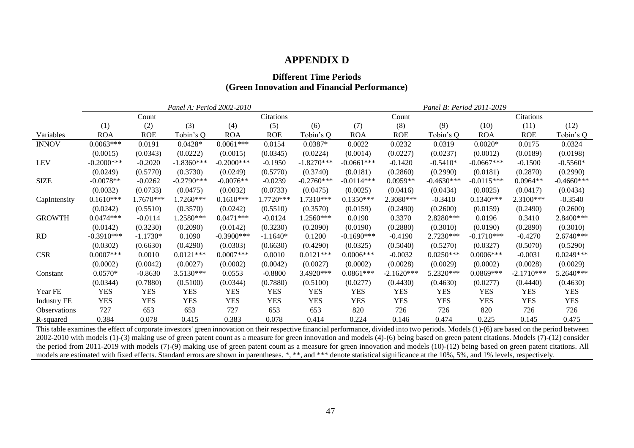### **APPENDIX D**

### **Different Time Periods (Green Innovation and Financial Performance)**

|                    |               |            | Panel A: Period 2002-2010 |               |            | Panel B: Period 2011-2019 |              |              |              |              |              |              |
|--------------------|---------------|------------|---------------------------|---------------|------------|---------------------------|--------------|--------------|--------------|--------------|--------------|--------------|
|                    |               | Count      |                           |               | Citations  |                           | Count        |              |              | Citations    |              |              |
|                    | (1)           | (2)        | (3)                       | (4)           | (5)        | (6)                       | (7)          | (8)          | (9)          | (10)         | (11)         | (12)         |
| Variables          | <b>ROA</b>    | <b>ROE</b> | Tobin's Q                 | <b>ROA</b>    | <b>ROE</b> | Tobin's Q                 | <b>ROA</b>   | <b>ROE</b>   | Tobin's Q    | <b>ROA</b>   | <b>ROE</b>   | Tobin's Q    |
| <b>INNOV</b>       | $0.0063***$   | 0.0191     | $0.0428*$                 | $0.0061***$   | 0.0154     | $0.0387*$                 | 0.0022       | 0.0232       | 0.0319       | $0.0020*$    | 0.0175       | 0.0324       |
|                    | (0.0015)      | (0.0343)   | (0.0222)                  | (0.0015)      | (0.0345)   | (0.0224)                  | (0.0014)     | (0.0227)     | (0.0237)     | (0.0012)     | (0.0189)     | (0.0198)     |
| <b>LEV</b>         | $-0.2000$ *** | $-0.2020$  | $-1.8360***$              | $-0.2000***$  | $-0.1950$  | $-1.8270***$              | $-0.0661***$ | $-0.1420$    | $-0.5410*$   | $-0.0667***$ | $-0.1500$    | $-0.5560*$   |
|                    | (0.0249)      | (0.5770)   | (0.3730)                  | (0.0249)      | (0.5770)   | (0.3740)                  | (0.0181)     | (0.2860)     | (0.2990)     | (0.0181)     | (0.2870)     | (0.2990)     |
| <b>SIZE</b>        | $-0.0078**$   | $-0.0262$  | $-0.2790$ ***             | $-0.0076**$   | $-0.0239$  | $-0.2760***$              | $-0.0114***$ | $0.0959**$   | $-0.4630***$ | $-0.0115***$ | $0.0964**$   | $-0.4660***$ |
|                    | (0.0032)      | (0.0733)   | (0.0475)                  | (0.0032)      | (0.0733)   | (0.0475)                  | (0.0025)     | (0.0416)     | (0.0434)     | (0.0025)     | (0.0417)     | (0.0434)     |
| CapIntensity       | $0.1610***$   | 1.7670***  | 1.7260***                 | $0.1610***$   | 1.7720***  | 1.7310***                 | $0.1350***$  | $2.3080***$  | $-0.3410$    | $0.1340***$  | $2.3100***$  | $-0.3540$    |
|                    | (0.0242)      | (0.5510)   | (0.3570)                  | (0.0242)      | (0.5510)   | (0.3570)                  | (0.0159)     | (0.2490)     | (0.2600)     | (0.0159)     | (0.2490)     | (0.2600)     |
| <b>GROWTH</b>      | $0.0474***$   | $-0.0114$  | 1.2580***                 | $0.0471***$   | $-0.0124$  | 1.2560***                 | 0.0190       | 0.3370       | 2.8280***    | 0.0196       | 0.3410       | 2.8400***    |
|                    | (0.0142)      | (0.3230)   | (0.2090)                  | (0.0142)      | (0.3230)   | (0.2090)                  | (0.0190)     | (0.2880)     | (0.3010)     | (0.0190)     | (0.2890)     | (0.3010)     |
| RD                 | $-0.3910***$  | $-1.1730*$ | 0.1090                    | $-0.3900$ *** | $-1.1640*$ | 0.1200                    | $-0.1690***$ | $-0.4190$    | $2.7230***$  | $-0.1710***$ | $-0.4270$    | $2.6740***$  |
|                    | (0.0302)      | (0.6630)   | (0.4290)                  | (0.0303)      | (0.6630)   | (0.4290)                  | (0.0325)     | (0.5040)     | (0.5270)     | (0.0327)     | (0.5070)     | (0.5290)     |
| <b>CSR</b>         | $0.0007$ ***  | 0.0010     | $0.0121***$               | $0.0007***$   | 0.0010     | $0.0121***$               | $0.0006***$  | $-0.0032$    | $0.0250***$  | $0.0006***$  | $-0.0031$    | $0.0249***$  |
|                    | (0.0002)      | (0.0042)   | (0.0027)                  | (0.0002)      | (0.0042)   | (0.0027)                  | (0.0002)     | (0.0028)     | (0.0029)     | (0.0002)     | (0.0028)     | (0.0029)     |
| Constant           | $0.0570*$     | $-0.8630$  | $3.5130***$               | 0.0553        | $-0.8800$  | $3.4920***$               | $0.0861***$  | $-2.1620***$ | 5.2320***    | $0.0869***$  | $-2.1710***$ | 5.2640***    |
|                    | (0.0344)      | (0.7880)   | (0.5100)                  | (0.0344)      | (0.7880)   | (0.5100)                  | (0.0277)     | (0.4430)     | (0.4630)     | (0.0277)     | (0.4440)     | (0.4630)     |
| Year FE            | <b>YES</b>    | <b>YES</b> | <b>YES</b>                | <b>YES</b>    | <b>YES</b> | <b>YES</b>                | <b>YES</b>   | <b>YES</b>   | <b>YES</b>   | <b>YES</b>   | <b>YES</b>   | <b>YES</b>   |
| <b>Industry FE</b> | <b>YES</b>    | <b>YES</b> | <b>YES</b>                | <b>YES</b>    | <b>YES</b> | <b>YES</b>                | <b>YES</b>   | <b>YES</b>   | <b>YES</b>   | <b>YES</b>   | <b>YES</b>   | <b>YES</b>   |
| Observations       | 727           | 653        | 653                       | 727           | 653        | 653                       | 820          | 726          | 726          | 820          | 726          | 726          |
| R-squared          | 0.384         | 0.078      | 0.415                     | 0.383         | 0.078      | 0.414                     | 0.224        | 0.146        | 0.474        | 0.225        | 0.145        | 0.475        |

<span id="page-47-0"></span>This table examines the effect of corporate investors' green innovation on their respective financial performance, divided into two periods. Models (1)-(6) are based on the period between 2002-2010 with models (1)-(3) making use of green patent count as a measure for green innovation and models (4)-(6) being based on green patent citations. Models (7)-(12) consider the period from 2011-2019 with models (7)-(9) making use of green patent count as a measure for green innovation and models (10)-(12) being based on green patent citations. All models are estimated with fixed effects. Standard errors are shown in parentheses. \*, \*\*, and \*\*\* denote statistical significance at the 10%, 5%, and 1% levels, respectively.